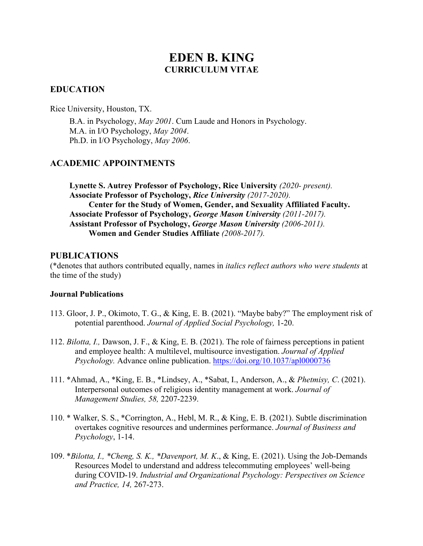# **EDEN B. KING CURRICULUM VITAE**

### **EDUCATION**

Rice University, Houston, TX.

B.A. in Psychology, *May 2001*. Cum Laude and Honors in Psychology. M.A. in I/O Psychology, *May 2004*. Ph.D. in I/O Psychology, *May 2006*.

### **ACADEMIC APPOINTMENTS**

**Lynette S. Autrey Professor of Psychology, Rice University** *(2020- present).*  **Associate Professor of Psychology,** *Rice University (2017-2020).*  **Center for the Study of Women, Gender, and Sexuality Affiliated Faculty. Associate Professor of Psychology,** *George Mason University (2011-2017).*  **Assistant Professor of Psychology,** *George Mason University (2006-2011).*  **Women and Gender Studies Affiliate** *(2008-2017).* 

### **PUBLICATIONS**

(\*denotes that authors contributed equally, names in *italics reflect authors who were students* at the time of the study)

### **Journal Publications**

- potential parenthood. *Journal of Applied Social Psychology,* 1-20. 113. Gloor, J. P., Okimoto, T. G., & King, E. B. (2021). "Maybe baby?" The employment risk of
- 112. *Bilotta, I.,* Dawson, J. F., & King, E. B. (2021). The role of fairness perceptions in patient and employee health: A multilevel, multisource investigation. *Journal of Applied Psychology.* Advance online publication.<https://doi.org/10.1037/apl0000736>
- 111. \*Ahmad, A., \*King, E. B., \*Lindsey, A., \*Sabat, I., Anderson, A., & *Phetmisy, C*. (2021). Interpersonal outcomes of religious identity management at work. *Journal of Management Studies, 58,* 2207-2239.
- 110. \* Walker, S. S., \*Corrington, A., Hebl, M. R., & King, E. B. (2021). Subtle discrimination overtakes cognitive resources and undermines performance. *Journal of Business and Psychology*, 1-14.
- *and Practice, 14,* 267-273. 109. \**Bilotta, I., \*Cheng, S. K., \*Davenport, M. K*., & King, E. (2021). Using the Job-Demands Resources Model to understand and address telecommuting employees' well-being during COVID-19. *Industrial and Organizational Psychology: Perspectives on Science*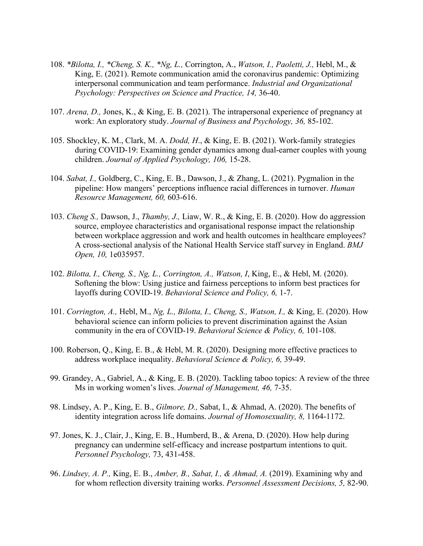- *Psychology: Perspectives on Science and Practice, 14, 36-40.* 108. *\*Bilotta, I., \*Cheng, S. K., \*Ng, L.,* Corrington, A., *Watson, I., Paoletti, J.,* Hebl, M., & King, E. (2021). Remote communication amid the coronavirus pandemic: Optimizing interpersonal communication and team performance. *Industrial and Organizational*
- *Phy. Arena, D., Jones, K., & King, E. B. (2021). The intrapersonal experience of pregnancy at* work: An exploratory study. *Journal of Business and Psychology, 36,* 85-102.
- 105. Shockley, K. M., Clark, M. A. *Dodd, H*., & King, E. B. (2021). Work-family strategies during COVID-19: Examining gender dynamics among dual-earner couples with young children. *Journal of Applied Psychology, 106,* 15-28.
- 104. *Sabat, I.,* Goldberg, C., King, E. B., Dawson, J., & Zhang, L. (2021). Pygmalion in the pipeline: How mangers' perceptions influence racial differences in turnover. *Human Resource Management, 60,* 603-616.
- 103. *Cheng S.,* Dawson, J., *Thamby, J.,* Liaw, W. R., & King, E. B. (2020). How do aggression Open, 10, 1e035957. source, employee characteristics and organisational response impact the relationship between workplace aggression and work and health outcomes in healthcare employees? A cross-sectional analysis of the National Health Service staff survey in England. *BMJ*
- 102. *Bilotta, I., Cheng, S., Ng, L., Corrington, A., Watson, I. King, E., & Hebl, M. (2020).* Softening the blow: Using justice and fairness perceptions to inform best practices for layoffs during COVID-19. *Behavioral Science and Policy, 6,* 1-7.
- 101. *Corrington, A.,* Hebl, M., *Ng, L., Bilotta, I., Cheng, S., Watson, I.,* & King, E. (2020). How behavioral science can inform policies to prevent discrimination against the Asian community in the era of COVID-19. *Behavioral Science & Policy, 6,* 101-108.
- address workplace inequality. *Behavioral Science & Policy, 6,* 39-49. 100. Roberson, Q., King, E. B., & Hebl, M. R. (2020). Designing more effective practices to
- 99. Grandey, A., Gabriel, A., & King, E. B. (2020). Tackling taboo topics: A review of the three Ms in working women's lives. *Journal of Management, 46,* 7-35.
- identity integration across life domains. Journal of Homosexuality, 8, 1164-1172. 98. Lindsey, A. P., King, E. B., *Gilmore, D.,* Sabat, I., & Ahmad, A. (2020). The benefits of
- 97. Jones, K. J., Clair, J., King, E. B., Humberd, B., & Arena, D. (2020). How help during pregnancy can undermine self-efficacy and increase postpartum intentions to quit. *Personnel Psychology,* 73, 431-458.
- 96. *Lindsey, A. P.,* King, E. B., *Amber, B., Sabat, I., & Ahmad, A.* (2019). Examining why and for whom reflection diversity training works. *Personnel Assessment Decisions, 5,* 82-90.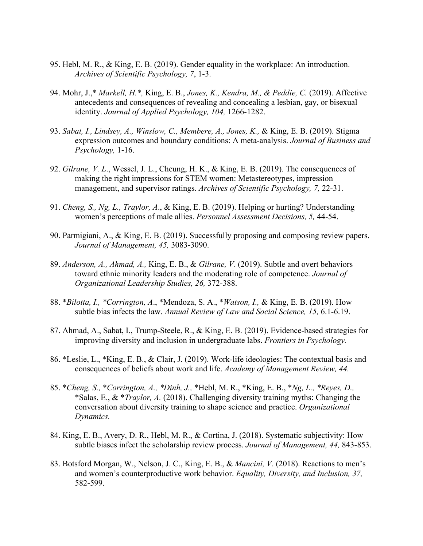- 95. Hebl, M. R., & King, E. B. (2019). Gender equality in the workplace: An introduction. *Archives of Scientific Psychology, 7*, 1-3.
- 94. Mohr, J.,\* *Markell, H.\*,* King, E. B., *Jones, K., Kendra, M., & Peddie, C.* (2019). Affective antecedents and consequences of revealing and concealing a lesbian, gay, or bisexual identity. *Journal of Applied Psychology, 104,* 1266-1282.
- 93. *Sabat, I., Lindsey, A., Winslow, C., Membere, A., Jones, K.,* & King, E. B. (2019). Stigma expression outcomes and boundary conditions: A meta-analysis. *Journal of Business and Psychology,* 1-16.
- 92. *Gilrane, V. L*., Wessel, J. L., Cheung, H. K., & King, E. B. (2019). The consequences of making the right impressions for STEM women: Metastereotypes, impression management, and supervisor ratings. *Archives of Scientific Psychology, 7,* 22-31.
- 91. *Cheng, S., Ng, L., Traylor, A*., & King, E. B. (2019). Helping or hurting? Understanding women's perceptions of male allies. *Personnel Assessment Decisions, 5,* 44-54.
- 90. Parmigiani, A., & King, E. B. (2019). Successfully proposing and composing review papers. *Journal of Management, 45,* 3083-3090.
- 89. *Anderson, A., Ahmad, A.,* King, E. B., & *Gilrane, V*. (2019). Subtle and overt behaviors toward ethnic minority leaders and the moderating role of competence. *Journal of Organizational Leadership Studies, 26,* 372-388.
- 88. \**Bilotta, I., \*Corrington, A*., \*Mendoza, S. A., \**Watson, I.,* & King, E. B. (2019). How subtle bias infects the law. *Annual Review of Law and Social Science, 15,* [6.1-6.19](https://6.1-6.19).
- 87. Ahmad, A., Sabat, I., Trump-Steele, R., & King, E. B. (2019). Evidence-based strategies for improving diversity and inclusion in undergraduate labs. *Frontiers in Psychology.*
- 86. \*Leslie, L., \*King, E. B., & Clair, J. (2019). Work-life ideologies: The contextual basis and consequences of beliefs about work and life. *Academy of Management Review, 44.*
- 85. \**Cheng, S.,* \**Corrington, A., \*Dinh, J.,* \*Hebl, M. R., \*King, E. B., \**Ng, L., \*Reyes, D.,*  \*Salas, E., & \**Traylor, A.* (2018). Challenging diversity training myths: Changing the conversation about diversity training to shape science and practice. *Organizational Dynamics.*
- 84. King, E. B., Avery, D. R., Hebl, M. R., & Cortina, J. (2018). Systematic subjectivity: How subtle biases infect the scholarship review process. *Journal of Management, 44,* 843-853.
- 83. Botsford Morgan, W., Nelson, J. C., King, E. B., & *Mancini, V.* (2018). Reactions to men's and women's counterproductive work behavior. *Equality, Diversity, and Inclusion, 37,*  582-599.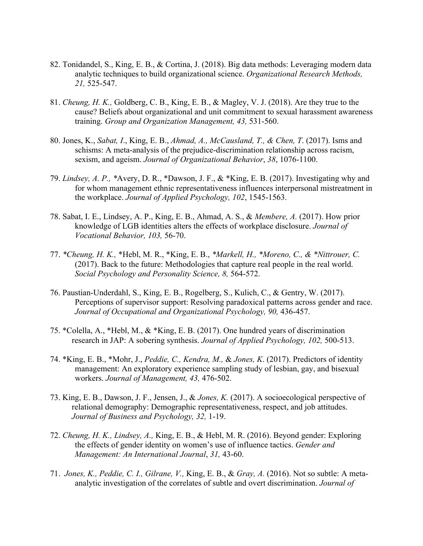- 82. Tonidandel, S., King, E. B., & Cortina, J. (2018). Big data methods: Leveraging modern data analytic techniques to build organizational science. *Organizational Research Methods, 21,* 525-547.
- 81. *Cheung, H. K.,* Goldberg, C. B., King, E. B., & Magley, V. J. (2018). Are they true to the cause? Beliefs about organizational and unit commitment to sexual harassment awareness training. *Group and Organization Management, 43,* 531-560.
- 80. Jones, K., *Sabat, I*., King, E. B., *Ahmad, A., McCausland, T., & Chen, T*. (2017). Isms and schisms: A meta-analysis of the prejudice-discrimination relationship across racism, sexism, and ageism. *Journal of Organizational Behavior*, *38*, 1076-1100.
- 79. *Lindsey, A. P., \**Avery, D. R., \*Dawson, J. F., & \*King, E. B. (2017). Investigating why and for whom management ethnic representativeness influences interpersonal mistreatment in the workplace. *Journal of Applied Psychology, 102*, 1545-1563.
- 78. Sabat, I. E., Lindsey, A. P., King, E. B., Ahmad, A. S., & *Membere, A.* (2017). How prior knowledge of LGB identities alters the effects of workplace disclosure. *Journal of Vocational Behavior, 103,* 56-70.
- 77. *\*Cheung, H. K.,* \*Hebl, M. R., \*King, E. B., *\*Markell, H., \*Moreno, C., & \*Nittrouer, C.*  (2017). Back to the future: Methodologies that capture real people in the real world. *Social Psychology and Personality Science, 8,* 564-572.
- 76. Paustian-Underdahl, S., King, E. B., Rogelberg, S., Kulich, C., & Gentry, W. (2017). Perceptions of supervisor support: Resolving paradoxical patterns across gender and race. *Journal of Occupational and Organizational Psychology, 90,* 436-457.
- 75. \*Colella, A., \*Hebl, M., & \*King, E. B. (2017). One hundred years of discrimination research in JAP: A sobering synthesis. *Journal of Applied Psychology, 102,* 500-513.
- workers. *Journal of Management, 43,* 476-502. 74. \*King, E. B., \*Mohr, J., *Peddie, C., Kendra, M.,* & *Jones, K*. (2017). Predictors of identity management: An exploratory experience sampling study of lesbian, gay, and bisexual
- 73. King, E. B., Dawson, J. F., Jensen, J., & *Jones, K.* (2017). A socioecological perspective of relational demography: Demographic representativeness, respect, and job attitudes. *Journal of Business and Psychology, 32,* 1-19.
- *Management: An International Journal*, *31,* 43-60. 72. *Cheung, H. K., Lindsey, A.,* King, E. B., & Hebl, M. R. (2016). Beyond gender: Exploring the effects of gender identity on women's use of influence tactics. *Gender and*
- 71. *Jones, K., Peddie, C. I., Gilrane, V.,* King, E. B., & *Gray, A.* (2016). Not so subtle: A metaanalytic investigation of the correlates of subtle and overt discrimination. *Journal of*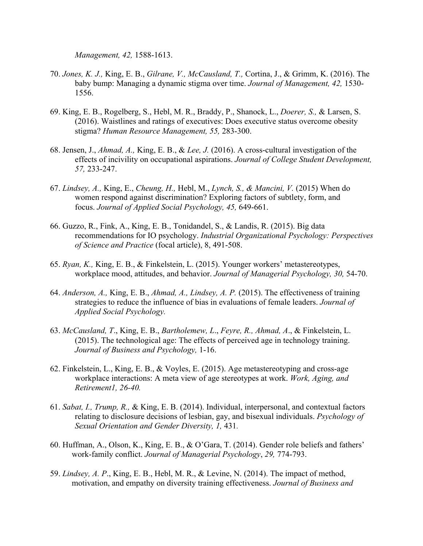*Management, 42,* 1588-1613.

- 70. *Jones, K. J.,* King, E. B., *Gilrane, V., McCausland, T.,* Cortina, J., & Grimm, K. (2016). The baby bump: Managing a dynamic stigma over time. *Journal of Management, 42,* 1530- 1556.
- 69. King, E. B., Rogelberg, S., Hebl, M. R., Braddy, P., Shanock, L., *Doerer, S.,* & Larsen, S. (2016). Waistlines and ratings of executives: Does executive status overcome obesity stigma? *Human Resource Management, 55,* 283-300.
- 68. Jensen, J., *Ahmad, A.,* King, E. B., & *Lee, J.* (2016). A cross-cultural investigation of the 57, 233-247. *57,* 233-247. 67. *Lindsey, A.,* King, E., *Cheung, H.,* Hebl, M., *Lynch, S., & Mancini, V.* (2015) When do effects of incivility on occupational aspirations. *Journal of College Student Development,*
- women respond against discrimination? Exploring factors of subtlety, form, and focus. *Journal of Applied Social Psychology, 45,* 649-661.
- 66. Guzzo, R., Fink, A., King, E. B., Tonidandel, S., & Landis, R. (2015). Big data recommendations for IO psychology. *Industrial Organizational Psychology: Perspectives of Science and Practice* (focal article), 8, 491-508.
- 65. *Ryan, K.,* King, E. B., & Finkelstein, L. (2015). Younger workers' metastereotypes, workplace mood, attitudes, and behavior. *Journal of Managerial Psychology, 30,* 54-70.
- 64. *Anderson, A.,* King, E. B., *Ahmad, A., Lindsey, A. P.* (2015). The effectiveness of training strategies to reduce the influence of bias in evaluations of female leaders. *Journal of Applied Social Psychology.*
- 63. *McCausland, T*., King, E. B., *Bartholemew, L*., *Feyre, R., Ahmad, A*., & Finkelstein, L. (2015). The technological age: The effects of perceived age in technology training. *Journal of Business and Psychology,* 1-16.
- 62. Finkelstein, L., King, E. B., & Voyles, E. (2015). Age metastereotyping and cross-age workplace interactions: A meta view of age stereotypes at work. *Work, Aging, and Retirement1, 26-40.*
- 61. *Sabat, I., Trump, R.,* & King, E. B. (2014). Individual, interpersonal, and contextual factors relating to disclosure decisions of lesbian, gay, and bisexual individuals. *Psychology of Sexual Orientation and Gender Diversity, 1,* 431*.*
- work-family conflict. *Journal of Managerial Psychology*, *29,* 774-793. 60. Huffman, A., Olson, K., King, E. B., & O'Gara, T. (2014). Gender role beliefs and fathers'
- 59. *Lindsey, A. P*., King, E. B., Hebl, M. R., & Levine, N. (2014). The impact of method, motivation, and empathy on diversity training effectiveness. *Journal of Business and*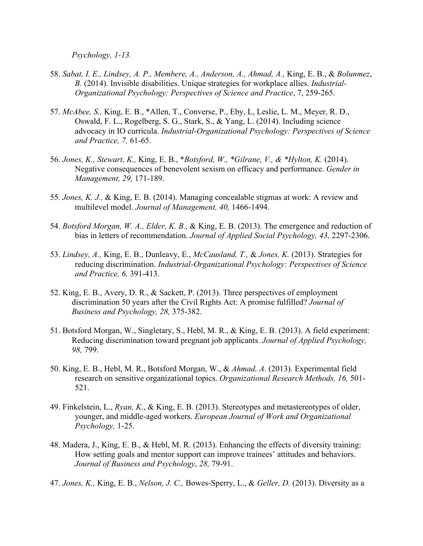*Psychology, 1-13.* 

- 58. *Sabat, I. E., Lindsey, A. P., Membere, A., Anderson, A., Ahmad, A.,* King, E. B., & *Bolunmez*, *B.* (2014). Invisible disabilities. Unique strategies for workplace allies. *Industrial-Organizational Psychology: Perspectives of Science and Practice*, 7, 259-265.
- 57. *McAbee, S.,* King, E. B., \*Allen, T., Converse, P., Eby, L, Leslie, L. M., Meyer, R. D., Oswald, F. L., Rogelberg, S. G., Stark, S., & Yang, L. (2014). Including science advocacy in IO curricula. *Industrial-Organizational Psychology: Perspectives of Science and Practice, 7,* 61-65.
- 56. *Jones, K., Stewart, K.,* King, E. B., \**Botsford, W., \*Gilrane, V., & \*Hylton, K.* (2014). Negative consequences of benevolent sexism on efficacy and performance. *Gender in Management, 29,* 171-189.
- 55*. Jones, K. J.,* & King, E. B. (2014). Managing concealable stigmas at work: A review and multilevel model. *Journal of Management, 40,* 1466-1494.
- 54. *Botsford Morgan, W. A., Elder, K. B.,* & King, E. B. (2013). The emergence and reduction of bias in letters of recommendation. *Journal of Applied Social Psychology, 43,* 2297-2306.
- 53. *Lindsey, A.,* King, E. B., Dunleavy, E., *McCausland, T.,* & *Jones, K.* (2013). Strategies for reducing discrimination. *Industrial-Organizational Psychology: Perspectives of Science and Practice, 6,* 391-413.
- 52. King, E. B., Avery, D. R., & Sackett, P. (2013). Three perspectives of employment discrimination 50 years after the Civil Rights Act: A promise fulfilled? *Journal of Business and Psychology, 28,* 375-382.
- 51. Botsford Morgan, W., Singletary, S., Hebl, M. R., & King, E. B. (2013). A field experiment: 51. Botsford Morgan, W., Singletary, S., Hebl, M. R., & King, E. B. (2013). A field experiment: Reducing discrimination toward pregnant job applicants. *Journal of Applied Psychology, 98,* 799.
- 50. King, E. B., Hebl, M. R., Botsford Morgan, W., & *Ahmad, A.* (2013). Experimental field research on sensitive organizational topics. *Organizational Research Methods, 16,* 501- 521.
- 49. Finkelstein, L., *Ryan, K*., & King, E. B. (2013). Stereotypes and metastereotypes of older, younger, and middle-aged workers. *European Journal of Work and Organizational Psychology,* 1-25.
- *Journal of Business and Psychology*, *28,* 79-91. 48. Madera, J., King, E. B., & Hebl, M. R. (2013). Enhancing the effects of diversity training: How setting goals and mentor support can improve trainees' attitudes and behaviors.
- 47. *Jones, K.,* King, E. B., *Nelson, J. C.,* Bowes-Sperry, L., & *Geller, D.* (2013). Diversity as a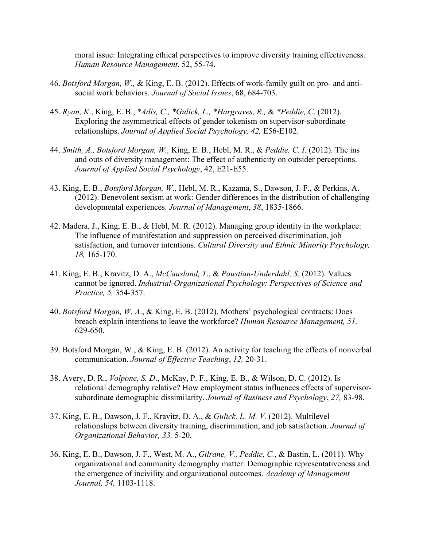moral issue: Integrating ethical perspectives to improve diversity training effectiveness. *Human Resource Management*, 52, 55-74.

- 46. *Botsford Morgan, W.,* & King, E. B. (2012). Effects of work-family guilt on pro- and antisocial work behaviors. *Journal of Social Issues*, 68, 684-703.
- 45. *Ryan, K*., King, E. B., *\*Adis, C., \*Gulick, L., \*Hargraves, R.,* & *\*Peddie, C*. (2012). Exploring the asymmetrical effects of gender tokenism on supervisor-subordinate relationships. *Journal of Applied Social Psychology, 42,* E56-E102.
- 44. *Smith, A., Botsford Morgan, W.,* King, E. B., Hebl, M. R., & *Peddie, C. I.* (2012). The ins and outs of diversity management: The effect of authenticity on outsider perceptions. *Journal of Applied Social Psychology*, 42, E21-E55.
- 43. King, E. B., *Botsford Morgan, W*., Hebl, M. R., Kazama, S., Dawson, J. F., & Perkins, A. (2012). Benevolent sexism at work: Gender differences in the distribution of challenging developmental experiences. *Journal of Management*, *38*, 1835-1866.
- 42. Madera, J., King, E. B., & Hebl, M. R. (2012). Managing group identity in the workplace: The influence of manifestation and suppression on perceived discrimination, job satisfaction, and turnover intentions. *Cultural Diversity and Ethnic Minority Psychology, 18,* 165-170.
- 41. King, E. B., Kravitz, D. A., *McCausland, T*., & *Paustian-Underdahl, S.* (2012). Values cannot be ignored. *Industrial-Organizational Psychology: Perspectives of Science and Practice, 5,* 354-357.
- 40. *Botsford Morgan, W. A*., & King, E. B. (2012). Mothers' psychological contracts: Does breach explain intentions to leave the workforce? *Human Resource Management, 51,*  629-650.
- communication. *Journal of Effective Teaching*, *12,* 20-31. 39. Botsford Morgan, W., & King, E. B. (2012). An activity for teaching the effects of nonverbal
- subordinate demographic dissimilarity. *Journal of Business and Psychology*, *27,* 83-98. 38. Avery, D. R., *Volpone, S. D*., McKay, P. F., King, E. B., & Wilson, D. C. (2012). Is relational demography relative? How employment status influences effects of supervisor-
- 37. King, E. B., Dawson, J. F., Kravitz, D. A., & *Gulick, L. M. V.* (2012). Multilevel relationships between diversity training, discrimination, and job satisfaction. *Journal of Organizational Behavior, 33,* 5-20.
- 36. King, E. B., Dawson, J. F., West, M. A., *Gilrane, V., Peddie, C.*, & Bastin, L. (2011). Why organizational and community demography matter: Demographic representativeness and the emergence of incivility and organizational outcomes. *Academy of Management Journal, 54,* 1103-1118.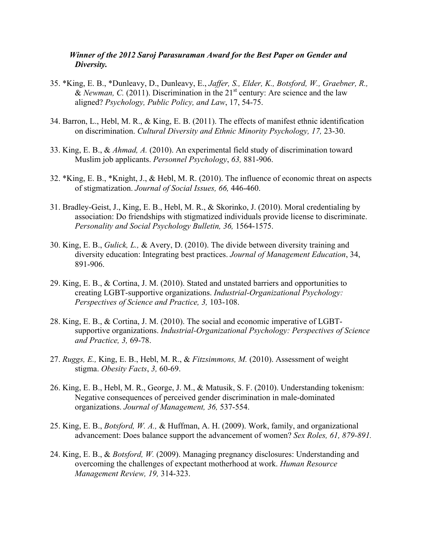### *Winner of the 2012 Saroj Parasuraman Award for the Best Paper on Gender and Diversity.*

- 35. \*King, E. B., \*Dunleavy, D., Dunleavy, E., *Jaffer, S., Elder, K., Botsford, W., Graebner, R.,*  & *Newman, C.* (2011). Discrimination in the  $21<sup>st</sup>$  century: Are science and the law aligned? *Psychology, Public Policy, and Law*, 17, 54-75.
- 34. Barron, L., Hebl, M. R., & King, E. B. (2011). The effects of manifest ethnic identification on discrimination. *Cultural Diversity and Ethnic Minority Psychology, 17,* 23-30.
- 33. King, E. B., & *Ahmad, A.* (2010). An experimental field study of discrimination toward Muslim job applicants. *Personnel Psychology*, *63,* 881-906.
- 32. \*King, E. B., \*Knight, J., & Hebl, M. R. (2010). The influence of economic threat on aspects of stigmatization. *Journal of Social Issues, 66,* 446-460.
- 31. Bradley-Geist, J., King, E. B., Hebl, M. R., & Skorinko, J. (2010). Moral credentialing by association: Do friendships with stigmatized individuals provide license to discriminate. *Personality and Social Psychology Bulletin, 36,* 1564-1575.
- 30. King, E. B., *Gulick, L.,* & Avery, D. (2010). The divide between diversity training and diversity education: Integrating best practices. *Journal of Management Education*, 34, 891-906.
- 29. King, E. B., & Cortina, J. M. (2010). Stated and unstated barriers and opportunities to creating LGBT-supportive organizations. *Industrial-Organizational Psychology: Perspectives of Science and Practice, 3,* 103-108.
- 28. King, E. B., & Cortina, J. M. (2010). The social and economic imperative of LGBTsupportive organizations. *Industrial-Organizational Psychology: Perspectives of Science and Practice, 3,* 69-78.
- 27. *Ruggs, E.,* King, E. B., Hebl, M. R., & *Fitzsimmons, M.* (2010). Assessment of weight stigma. *Obesity Facts*, *3,* 60-69.
- 26. King, E. B., Hebl, M. R., George, J. M., & Matusik, S. F. (2010). Understanding tokenism: Negative consequences of perceived gender discrimination in male-dominated organizations. *Journal of Management, 36,* 537-554.
- 25. King, E. B., *Botsford, W. A.,* & Huffman, A. H. (2009). Work, family, and organizational advancement: Does balance support the advancement of women? *Sex Roles, 61, 879-891.*
- 24. King, E. B., & *Botsford, W.* (2009). Managing pregnancy disclosures: Understanding and overcoming the challenges of expectant motherhood at work. *Human Resource Management Review, 19,* 314-323.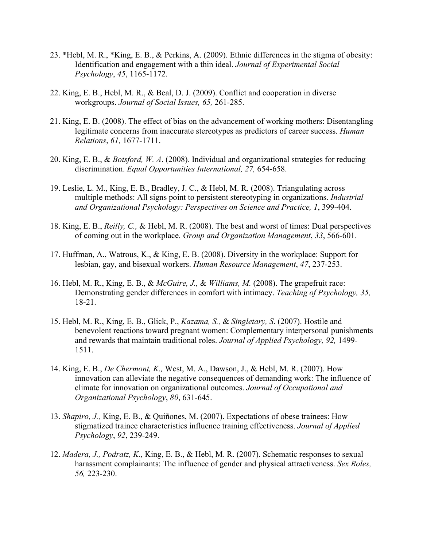- 23. \*Hebl, M. R., \*King, E. B., & Perkins, A. (2009). Ethnic differences in the stigma of obesity: Identification and engagement with a thin ideal. *Journal of Experimental Social Psychology*, *45*, 1165-1172.
- 22. King, E. B., Hebl, M. R., & Beal, D. J. (2009). Conflict and cooperation in diverse workgroups. *Journal of Social Issues, 65,* 261-285.
- *Relations*, *61,* 1677-1711. 21. King, E. B. (2008). The effect of bias on the advancement of working mothers: Disentangling legitimate concerns from inaccurate stereotypes as predictors of career success. *Human*
- 20. King, E. B., & *Botsford, W. A*. (2008). Individual and organizational strategies for reducing discrimination. *Equal Opportunities International, 27,* 654-658.
- 19. Leslie, L. M., King, E. B., Bradley, J. C., & Hebl, M. R. (2008). Triangulating across multiple methods: All signs point to persistent stereotyping in organizations. *Industrial and Organizational Psychology: Perspectives on Science and Practice, 1*, 399-404.
- 18. King, E. B., *Reilly, C.,* & Hebl, M. R. (2008). The best and worst of times: Dual perspectives of coming out in the workplace. *Group and Organization Management*, *33*, 566-601.
- 17. Huffman, A., Watrous, K., & King, E. B. (2008). Diversity in the workplace: Support for lesbian, gay, and bisexual workers. *Human Resource Management*, *47*, 237-253.
- 16. Hebl, M. R., King, E. B., & *McGuire, J.,* & *Williams, M.* (2008). The grapefruit race: Demonstrating gender differences in comfort with intimacy. *Teaching of Psychology, 35,*  18-21.
- 15. Hebl, M. R., King, E. B., Glick, P., *Kazama, S.,* & *Singletary, S*. (2007). Hostile and benevolent reactions toward pregnant women: Complementary interpersonal punishments and rewards that maintain traditional roles. *Journal of Applied Psychology, 92,* 1499- 1511.
- 14. King, E. B., *De Chermont, K.,* West, M. A., Dawson, J., & Hebl, M. R. (2007). How innovation can alleviate the negative consequences of demanding work: The influence of climate for innovation on organizational outcomes. *Journal of Occupational and Organizational Psychology*, *80*, 631-645.
- 13. *Shapiro, J.,* King, E. B., & Quiñones, M. (2007). Expectations of obese trainees: How stigmatized trainee characteristics influence training effectiveness. *Journal of Applied Psychology*, *92*, 239-249.
- 12. *Madera, J., Podratz, K.,* King, E. B., & Hebl, M. R. (2007). Schematic responses to sexual harassment complainants: The influence of gender and physical attractiveness. *Sex Roles, 56,* 223-230.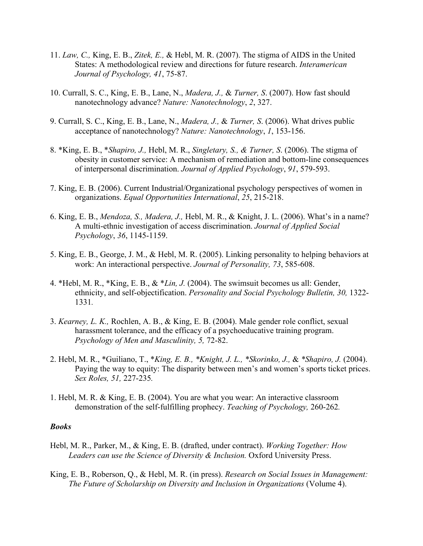- 11. *Law, C.,* King, E. B., *Zitek, E.,* & Hebl, M. R. (2007). The stigma of AIDS in the United States: A methodological review and directions for future research. *Interamerican Journal of Psychology, 41*, 75-87.
- 10. Currall, S. C., King, E. B., Lane, N., *Madera, J.,* & *Turner, S*. (2007). How fast should nanotechnology advance? *Nature: Nanotechnology*, *2*, 327.
- 9. Currall, S. C., King, E. B., Lane, N., *Madera, J.,* & *Turner, S*. (2006). What drives public acceptance of nanotechnology? *Nature: Nanotechnology*, *1*, 153-156.
- 8. \*King, E. B., \**Shapiro, J.,* Hebl, M. R., *Singletary, S., & Turner, S*. (2006). The stigma of obesity in customer service: A mechanism of remediation and bottom-line consequences of interpersonal discrimination. *Journal of Applied Psychology*, *91*, 579-593.
- 7. King, E. B. (2006). Current Industrial/Organizational psychology perspectives of women in organizations. *Equal Opportunities International*, *25*, 215-218.
- 6. King, E. B., *Mendoza, S., Madera, J.,* Hebl, M. R., & Knight, J. L. (2006). What's in a name? A multi-ethnic investigation of access discrimination. *Journal of Applied Social Psychology*, *36*, 1145-1159.
- 5. King, E. B., George, J. M., & Hebl, M. R. (2005). Linking personality to helping behaviors at work: An interactional perspective. *Journal of Personality, 73*, 585-608.
- 4. \*Hebl, M. R., \*King, E. B., & \**Lin, J.* (2004). The swimsuit becomes us all: Gender, ethnicity, and self-objectification. *Personality and Social Psychology Bulletin, 30,* 1322- 1331*.*
- 3. *Kearney, L. K.,* Rochlen, A. B., & King, E. B. (2004). Male gender role conflict, sexual harassment tolerance, and the efficacy of a psychoeducative training program. *Psychology of Men and Masculinity, 5,* 72-82.
- *Sex Roles, 51,* 227-235*.*  2. Hebl, M. R., \*Guiliano, T., \**King, E. B., \*Knight, J. L., \*Skorinko, J.,* & *\*Shapiro, J.* (2004). Paying the way to equity: The disparity between men's and women's sports ticket prices.
- 1. Hebl, M. R. & King, E. B. (2004). You are what you wear: An interactive classroom demonstration of the self-fulfilling prophecy. *Teaching of Psychology,* 260-262*.*

#### *Books*

- Hebl, M. R., Parker, M., & King, E. B. (drafted, under contract). *Working Together: How Leaders can use the Science of Diversity & Inclusion.* Oxford University Press.
- King, E. B., Roberson, Q., & Hebl, M. R. (in press). *Research on Social Issues in Management: The Future of Scholarship on Diversity and Inclusion in Organizations* (Volume 4).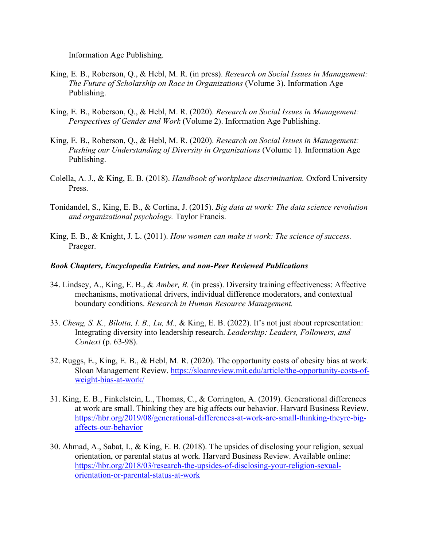Information Age Publishing.

- King, E. B., Roberson, Q., & Hebl, M. R. (in press). *Research on Social Issues in Management: The Future of Scholarship on Race in Organizations* (Volume 3). Information Age Publishing.
- King, E. B., Roberson, Q., & Hebl, M. R. (2020). *Research on Social Issues in Management: Perspectives of Gender and Work* (Volume 2). Information Age Publishing.
- King, E. B., Roberson, Q., & Hebl, M. R. (2020). *Research on Social Issues in Management: Pushing our Understanding of Diversity in Organizations* (Volume 1). Information Age Publishing.
- Colella, A. J., & King, E. B. (2018). *Handbook of workplace discrimination.* Oxford University Press.
- Tonidandel, S., King, E. B., & Cortina, J. (2015). *Big data at work: The data science revolution and organizational psychology.* Taylor Francis.
- King, E. B., & Knight, J. L. (2011). *How women can make it work: The science of success.*  Praeger.

#### *Book Chapters, Encyclopedia Entries, and non-Peer Reviewed Publications*

- 34. Lindsey, A., King, E. B., & *Amber, B.* (in press). Diversity training effectiveness: Affective mechanisms, motivational drivers, individual difference moderators, and contextual boundary conditions. *Research in Human Resource Management.*
- *Context* (p. 63-98). 33. *Cheng, S. K., Bilotta, I. B., Lu, M.,* & King, E. B. (2022). It's not just about representation: Integrating diversity into leadership research. *Leadership: Leaders, Followers, and*
- 32. Ruggs, E., King, E. B., & Hebl, M. R. (2020). The opportunity costs of obesity bias at work. Sloan Management Review.<https://sloanreview.mit.edu/article/the-opportunity-costs-of>weight-bias-at-work/
- 31. King, E. B., Finkelstein, L., Thomas, C., & Corrington, A. (2019). Generational differences at work are small. Thinking they are big affects our behavior. Harvard Business Review. <https://hbr.org/2019/08/generational-differences-at-work-are-small-thinking-theyre-big>affects-our-behavior
- 30. Ahmad, A., Sabat, I., & King, E. B. (2018). The upsides of disclosing your religion, sexual orientation, or parental status at work. Harvard Business Review. Available online: <https://hbr.org/2018/03/research-the-upsides-of-disclosing-your-religion-sexual>orientation-or-parental-status-at-work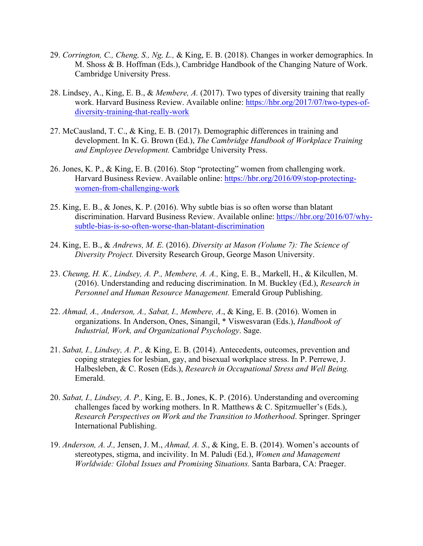- 29. *Corrington, C., Cheng, S., Ng, L.,* & King, E. B. (2018). Changes in worker demographics. In M. Shoss & B. Hoffman (Eds.), Cambridge Handbook of the Changing Nature of Work. Cambridge University Press.
- 28. Lindsey, A., King, E. B., & *Membere, A.* (2017). Two types of diversity training that really work. Harvard Business Review. Available online: <https://hbr.org/2017/07/two-types-of>diversity-training-that-really-work
- and Employee Development. Cambridge University Press. 27. McCausland, T. C., & King, E. B. (2017). Demographic differences in training and development. In K. G. Brown (Ed.), *The Cambridge Handbook of Workplace Training*
- 26. Jones, K. P., & King, E. B. (2016). Stop "protecting" women from challenging work. Harvard Business Review. Available online:<https://hbr.org/2016/09/stop-protecting>women-from-challenging-work
- 25. King, E. B., & Jones, K. P. (2016). Why subtle bias is so often worse than blatant discrimination. Harvard Business Review. Available online:<https://hbr.org/2016/07/why>subtle-bias-is-so-often-worse-than-blatant-discrimination
- 24. King, E. B., & *Andrews, M. E.* (2016). *Diversity at Mason (Volume 7): The Science of Diversity Project.* Diversity Research Group, George Mason University.
- 23. *Cheung, H. K., Lindsey, A. P., Membere, A. A.,* King, E. B., Markell, H., & Kilcullen, M. (2016). Understanding and reducing discrimination. In M. Buckley (Ed.), *Research in Personnel and Human Resource Management.* Emerald Group Publishing.
- 22. *Ahmad, A., Anderson, A., Sabat, I., Membere, A*., & King, E. B. (2016). Women in organizations. In Anderson, Ones, Sinangil, \* Viswesvaran (Eds.), *Handbook of Industrial, Work, and Organizational Psychology*. Sage.
- 21. *Sabat, I., Lindsey, A. P.,* & King, E. B. (2014). Antecedents, outcomes, prevention and coping strategies for lesbian, gay, and bisexual workplace stress. In P. Perrewe, J. Halbesleben, & C. Rosen (Eds.), *Research in Occupational Stress and Well Being.*  Emerald.
- 20. *Sabat, I., Lindsey, A. P.,* King, E. B., Jones, K. P. (2016). Understanding and overcoming challenges faced by working mothers. In R. Matthews & C. Spitzmueller's (Eds.), *Research Perspectives on Work and the Transition to Motherhood*. Springer. Springer International Publishing.
- 19. *Anderson, A. J.,* Jensen, J. M., *Ahmad, A. S*., & King, E. B. (2014). Women's accounts of stereotypes, stigma, and incivility. In M. Paludi (Ed.), *Women and Management Worldwide: Global Issues and Promising Situations.* Santa Barbara, CA: Praeger.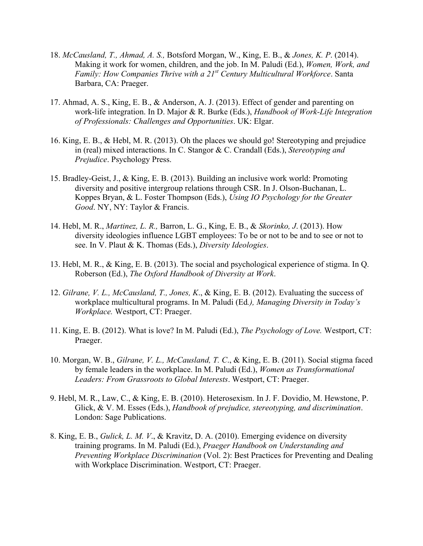- 18. *McCausland, T., Ahmad, A. S.,* Botsford Morgan, W., King, E. B., & *Jones, K. P*. (2014). Making it work for women, children, and the job. In M. Paludi (Ed.), *Women, Work, and Family: How Companies Thrive with a 21st Century Multicultural Workforce*. Santa Barbara, CA: Praeger.
- 17. Ahmad, A. S., King, E. B., & Anderson, A. J. (2013). Effect of gender and parenting on work-life integration. In D. Major & R. Burke (Eds.), *Handbook of Work-Life Integration of Professionals: Challenges and Opportunities*. UK: Elgar.
- 16. King, E. B., & Hebl, M. R. (2013). Oh the places we should go! Stereotyping and prejudice in (real) mixed interactions. In C. Stangor & C. Crandall (Eds.), *Stereotyping and Prejudice*. Psychology Press.
- 15. Bradley-Geist, J., & King, E. B. (2013). Building an inclusive work world: Promoting diversity and positive intergroup relations through CSR. In J. Olson-Buchanan, L. Koppes Bryan, & L. Foster Thompson (Eds.), *Using IO Psychology for the Greater Good*. NY, NY: Taylor & Francis.
- 14. Hebl, M. R., *Martinez, L. R.,* Barron, L. G., King, E. B., & *Skorinko, J*. (2013). How diversity ideologies influence LGBT employees: To be or not to be and to see or not to see. In V. Plaut & K. Thomas (Eds.), *Diversity Ideologies*.
- 13. Hebl, M. R., & King, E. B. (2013). The social and psychological experience of stigma. In Q. Roberson (Ed.), *The Oxford Handbook of Diversity at Work*.
- 12. *Gilrane, V. L., McCausland, T., Jones, K*., & King, E. B. (2012). Evaluating the success of workplace multicultural programs. In M. Paludi (Ed*.), Managing Diversity in Today's Workplace.* Westport, CT: Praeger.
- 11. King, E. B. (2012). What is love? In M. Paludi (Ed.), *The Psychology of Love.* Westport, CT: Praeger.
- 10. Morgan, W. B., *Gilrane, V. L., McCausland, T. C*., & King, E. B. (2011). Social stigma faced by female leaders in the workplace. In M. Paludi (Ed.), *Women as Transformational Leaders: From Grassroots to Global Interests*. Westport, CT: Praeger.
- 9. Hebl, M. R., Law, C., & King, E. B. (2010). Heterosexism. In J. F. Dovidio, M. Hewstone, P. Glick, & V. M. Esses (Eds.), *Handbook of prejudice, stereotyping, and discrimination*. London: Sage Publications.
- 8. King, E. B., *Gulick, L. M. V*., & Kravitz, D. A. (2010). Emerging evidence on diversity training programs. In M. Paludi (Ed.), *Praeger Handbook on Understanding and Preventing Workplace Discrimination* (Vol. 2): Best Practices for Preventing and Dealing with Workplace Discrimination. Westport, CT: Praeger.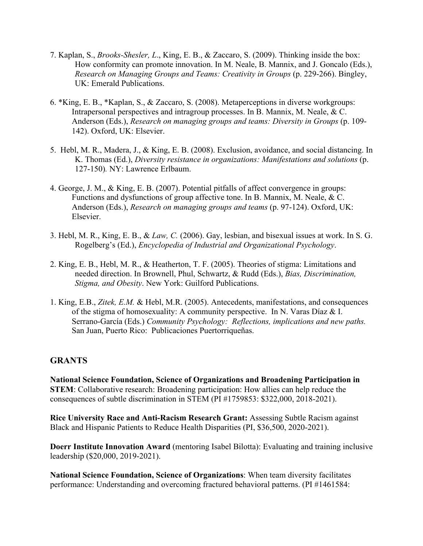- 7. Kaplan, S., *Brooks-Shesler, L*., King, E. B., & Zaccaro, S. (2009). Thinking inside the box: How conformity can promote innovation. In M. Neale, B. Mannix, and J. Goncalo (Eds.), *Research on Managing Groups and Teams: Creativity in Groups* (p. 229-266). Bingley, UK: Emerald Publications.
- 6. \*King, E. B., \*Kaplan, S., & Zaccaro, S. (2008). Metaperceptions in diverse workgroups: Intrapersonal perspectives and intragroup processes. In B. Mannix, M. Neale, & C. Anderson (Eds.), *Research on managing groups and teams: Diversity in Groups* (p. 109- 142). Oxford, UK: Elsevier.
- 5. Hebl, M. R., Madera, J., & King, E. B. (2008). Exclusion, avoidance, and social distancing. In K. Thomas (Ed.), *Diversity resistance in organizations: Manifestations and solutions* (p. 127-150)*.* NY: Lawrence Erlbaum.
- 4. George, J. M., & King, E. B. (2007). Potential pitfalls of affect convergence in groups: Functions and dysfunctions of group affective tone. In B. Mannix, M. Neale, & C. Anderson (Eds.), *Research on managing groups and teams* (p. 97-124). Oxford, UK: Elsevier.
- 3. Hebl, M. R., King, E. B., & *Law, C.* (2006). Gay, lesbian, and bisexual issues at work. In S. G. Rogelberg's (Ed.), *Encyclopedia of Industrial and Organizational Psychology*.
- 2. King, E. B., Hebl, M. R., & Heatherton, T. F. (2005). Theories of stigma: Limitations and needed direction. In Brownell, Phul, Schwartz, & Rudd (Eds.), *Bias, Discrimination, Stigma, and Obesity*. New York: Guilford Publications.
- of the stigma of homosexuality: A community perspective. In N. Varas Díaz & I.  Serrano-García (Eds.) *Community Psychology: Reflections, implications and new paths.*  San Juan, Puerto Rico: Publicaciones Puertorriqueñas. 1. King, E.B., *Zitek, E.M.* & Hebl, M.R. (2005). Antecedents, manifestations, and consequences

### **GRANTS**

**National Science Foundation, Science of Organizations and Broadening Participation in STEM**: Collaborative research: Broadening participation: How allies can help reduce the consequences of subtle discrimination in STEM (PI #1759853: \$322,000, 2018-2021).

**Rice University Race and Anti-Racism Research Grant:** Assessing Subtle Racism against Black and Hispanic Patients to Reduce Health Disparities (PI, \$36,500, 2020-2021).

**Doerr Institute Innovation Award** (mentoring Isabel Bilotta): Evaluating and training inclusive leadership (\$20,000, 2019-2021).

**National Science Foundation, Science of Organizations**: When team diversity facilitates performance: Understanding and overcoming fractured behavioral patterns. (PI #1461584: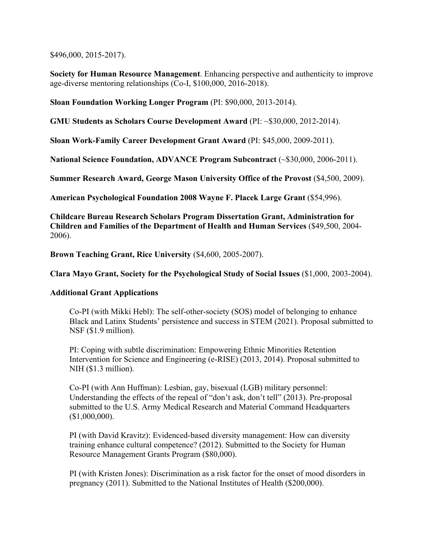\$496,000, 2015-2017).

 **Society for Human Resource Management**. Enhancing perspective and authenticity to improve age-diverse mentoring relationships (Co-I, \$100,000, 2016-2018).

**Sloan Foundation Working Longer Program** (PI: \$90,000, 2013-2014).

**GMU Students as Scholars Course Development Award** (PI: ~\$30,000, 2012-2014).

**Sloan Work-Family Career Development Grant Award** (PI: \$45,000, 2009-2011).

National Science Foundation, ADVANCE Program Subcontract (~\$30,000, 2006-2011).

**Summer Research Award, George Mason University Office of the Provost (\$4,500, 2009).** 

**American Psychological Foundation 2008 Wayne F. Placek Large Grant** (\$54,996).

**Childcare Bureau Research Scholars Program Dissertation Grant, Administration for Children and Families of the Department of Health and Human Services** (\$49,500, 2004- 2006).

**Brown Teaching Grant, Rice University** (\$4,600, 2005-2007).

**Clara Mayo Grant, Society for the Psychological Study of Social Issues** (\$1,000, 2003-2004).

### **Additional Grant Applications**

Co-PI (with Mikki Hebl): The self-other-society (SOS) model of belonging to enhance Black and Latinx Students' persistence and success in STEM (2021). Proposal submitted to NSF (\$1.9 million).

PI: Coping with subtle discrimination: Empowering Ethnic Minorities Retention Intervention for Science and Engineering (e-RISE) (2013, 2014). Proposal submitted to NIH (\$1.3 million).

Co-PI (with Ann Huffman): Lesbian, gay, bisexual (LGB) military personnel: Understanding the effects of the repeal of "don't ask, don't tell" (2013). Pre-proposal submitted to the U.S. Army Medical Research and Material Command Headquarters (\$1,000,000).

PI (with David Kravitz): Evidenced-based diversity management: How can diversity training enhance cultural competence? (2012). Submitted to the Society for Human Resource Management Grants Program (\$80,000).

PI (with Kristen Jones): Discrimination as a risk factor for the onset of mood disorders in pregnancy (2011). Submitted to the National Institutes of Health (\$200,000).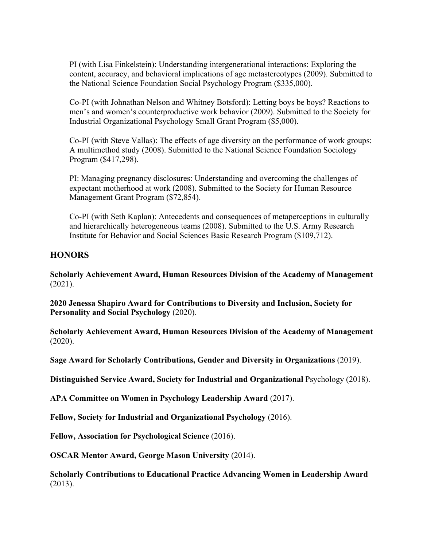PI (with Lisa Finkelstein): Understanding intergenerational interactions: Exploring the content, accuracy, and behavioral implications of age metastereotypes (2009). Submitted to the National Science Foundation Social Psychology Program (\$335,000).

Co-PI (with Johnathan Nelson and Whitney Botsford): Letting boys be boys? Reactions to men's and women's counterproductive work behavior (2009). Submitted to the Society for Industrial Organizational Psychology Small Grant Program (\$5,000).

Co-PI (with Steve Vallas): The effects of age diversity on the performance of work groups: A multimethod study (2008). Submitted to the National Science Foundation Sociology Program (\$417,298).

PI: Managing pregnancy disclosures: Understanding and overcoming the challenges of expectant motherhood at work (2008). Submitted to the Society for Human Resource Management Grant Program (\$72,854).

Co-PI (with Seth Kaplan): Antecedents and consequences of metaperceptions in culturally and hierarchically heterogeneous teams (2008). Submitted to the U.S. Army Research Institute for Behavior and Social Sciences Basic Research Program (\$109,712).

## **HONORS**

**Scholarly Achievement Award, Human Resources Division of the Academy of Management**  (2021).

**2020 Jenessa Shapiro Award for Contributions to Diversity and Inclusion, Society for Personality and Social Psychology** (2020).

**Scholarly Achievement Award, Human Resources Division of the Academy of Management**  (2020).

**Sage Award for Scholarly Contributions, Gender and Diversity in Organizations** (2019).

**Distinguished Service Award, Society for Industrial and Organizational** Psychology (2018).

 **APA Committee on Women in Psychology Leadership Award** (2017).

**Fellow, Society for Industrial and Organizational Psychology** (2016).

 **Fellow, Association for Psychological Science** (2016).

**OSCAR Mentor Award, George Mason University** (2014).

**Scholarly Contributions to Educational Practice Advancing Women in Leadership Award**  (2013).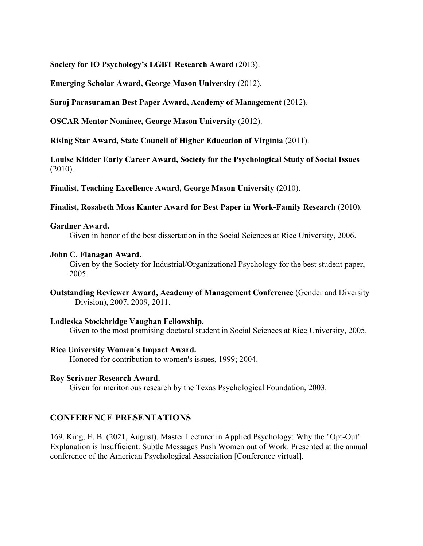**Society for IO Psychology's LGBT Research Award** (2013).

**Emerging Scholar Award, George Mason University** (2012).

**Saroj Parasuraman Best Paper Award, Academy of Management** (2012).

**OSCAR Mentor Nominee, George Mason University** (2012).

**Rising Star Award, State Council of Higher Education of Virginia** (2011).

 $(2010).$ **Louise Kidder Early Career Award, Society for the Psychological Study of Social Issues** 

**Finalist, Teaching Excellence Award, George Mason University** (2010).

**Finalist, Rosabeth Moss Kanter Award for Best Paper in Work-Family Research** (2010).

#### **Gardner Award.**

Given in honor of the best dissertation in the Social Sciences at Rice University, 2006.

#### **John C. Flanagan Award.**

Given by the Society for Industrial/Organizational Psychology for the best student paper, 2005.

**Outstanding Reviewer Award, Academy of Management Conference** (Gender and Diversity Division), 2007, 2009, 2011.

#### **Lodieska Stockbridge Vaughan Fellowship.**

Given to the most promising doctoral student in Social Sciences at Rice University, 2005.

#### **Rice University Women's Impact Award.**

Honored for contribution to women's issues, 1999; 2004.

#### **Roy Scrivner Research Award.**

Given for meritorious research by the Texas Psychological Foundation, 2003.

### **CONFERENCE PRESENTATIONS**

169. King, E. B. (2021, August). Master Lecturer in Applied Psychology: Why the "Opt-Out" Explanation is Insufficient: Subtle Messages Push Women out of Work. Presented at the annual conference of the American Psychological Association [Conference virtual].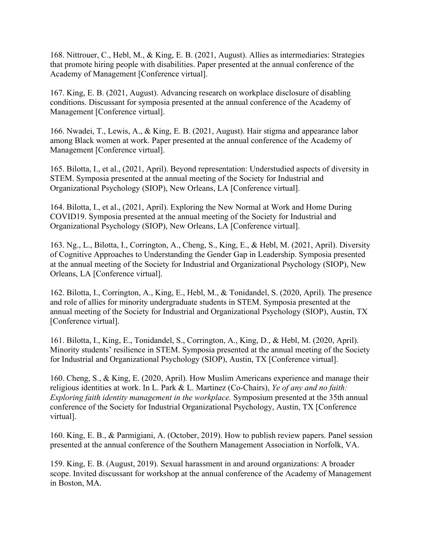Academy of Management [Conference virtual]. 168. Nittrouer, C., Hebl, M., & King, E. B. (2021, August). Allies as intermediaries: Strategies that promote hiring people with disabilities. Paper presented at the annual conference of the

167. King, E. B. (2021, August). Advancing research on workplace disclosure of disabling conditions. Discussant for symposia presented at the annual conference of the Academy of Management [Conference virtual].

166. Nwadei, T., Lewis, A., & King, E. B. (2021, August). Hair stigma and appearance labor among Black women at work. Paper presented at the annual conference of the Academy of Management [Conference virtual].

165. Bilotta, I., et al., (2021, April). Beyond representation: Understudied aspects of diversity in STEM. Symposia presented at the annual meeting of the Society for Industrial and Organizational Psychology (SIOP), New Orleans, LA [Conference virtual].

164. Bilotta, I., et al., (2021, April). Exploring the New Normal at Work and Home During COVID19. Symposia presented at the annual meeting of the Society for Industrial and Organizational Psychology (SIOP), New Orleans, LA [Conference virtual].

163. Ng., L., Bilotta, I., Corrington, A., Cheng, S., King, E., & Hebl, M. (2021, April). Diversity of Cognitive Approaches to Understanding the Gender Gap in Leadership. Symposia presented at the annual meeting of the Society for Industrial and Organizational Psychology (SIOP), New Orleans, LA [Conference virtual].

 annual meeting of the Society for Industrial and Organizational Psychology (SIOP), Austin, TX 162. Bilotta, I., Corrington, A., King, E., Hebl, M., & Tonidandel, S. (2020, April). The presence and role of allies for minority undergraduate students in STEM. Symposia presented at the [Conference virtual].

161. Bilotta, I., King, E., Tonidandel, S., Corrington, A., King, D., & Hebl, M. (2020, April). Minority students' resilience in STEM. Symposia presented at the annual meeting of the Society for Industrial and Organizational Psychology (SIOP), Austin, TX [Conference virtual].

 *Exploring faith identity management in the workplace.* Symposium presented at the 35th annual conference of the Society for Industrial Organizational Psychology, Austin, TX [Conference 160. Cheng, S., & King, E. (2020, April). How Muslim Americans experience and manage their religious identities at work. In L. Park & L. Martinez (Co-Chairs), *Ye of any and no faith:*  virtual].

160. King, E. B., & Parmigiani, A. (October, 2019). How to publish review papers. Panel session presented at the annual conference of the Southern Management Association in Norfolk, VA.

159. King, E. B. (August, 2019). Sexual harassment in and around organizations: A broader scope. Invited discussant for workshop at the annual conference of the Academy of Management in Boston, MA.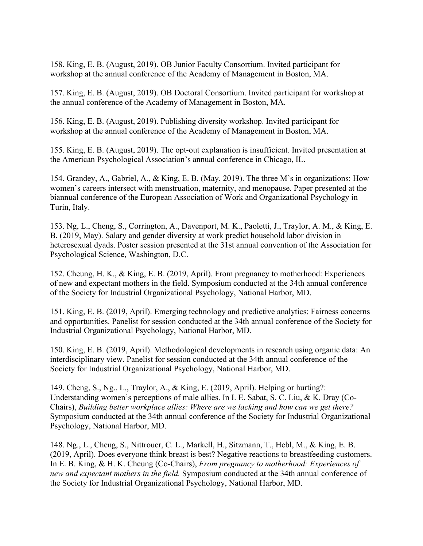158. King, E. B. (August, 2019). OB Junior Faculty Consortium. Invited participant for workshop at the annual conference of the Academy of Management in Boston, MA.

 157. King, E. B. (August, 2019). OB Doctoral Consortium. Invited participant for workshop at the annual conference of the Academy of Management in Boston, MA.

156. King, E. B. (August, 2019). Publishing diversity workshop. Invited participant for workshop at the annual conference of the Academy of Management in Boston, MA.

155. King, E. B. (August, 2019). The opt-out explanation is insufficient. Invited presentation at the American Psychological Association's annual conference in Chicago, IL.

154. Grandey, A., Gabriel, A., & King, E. B. (May, 2019). The three M's in organizations: How women's careers intersect with menstruation, maternity, and menopause. Paper presented at the biannual conference of the European Association of Work and Organizational Psychology in Turin, Italy.

Psychological Science, Washington, D.C. 153. Ng, L., Cheng, S., Corrington, A., Davenport, M. K., Paoletti, J., Traylor, A. M., & King, E. B. (2019, May). Salary and gender diversity at work predict household labor division in heterosexual dyads. Poster session presented at the 31st annual convention of the Association for

152. Cheung, H. K., & King, E. B. (2019, April). From pregnancy to motherhood: Experiences of new and expectant mothers in the field. Symposium conducted at the 34th annual conference of the Society for Industrial Organizational Psychology, National Harbor, MD.

151. King, E. B. (2019, April). Emerging technology and predictive analytics: Fairness concerns and opportunities. Panelist for session conducted at the 34th annual conference of the Society for Industrial Organizational Psychology, National Harbor, MD.

150. King, E. B. (2019, April). Methodological developments in research using organic data: An interdisciplinary view. Panelist for session conducted at the 34th annual conference of the Society for Industrial Organizational Psychology, National Harbor, MD.

149. Cheng, S., Ng., L., Traylor, A., & King, E. (2019, April). Helping or hurting?: Understanding women's perceptions of male allies. In I. E. Sabat, S. C. Liu, & K. Dray (Co-Chairs), *Building better workplace allies: Where are we lacking and how can we get there?*  Symposium conducted at the 34th annual conference of the Society for Industrial Organizational Psychology, National Harbor, MD.

148. Ng., L., Cheng, S., Nittrouer, C. L., Markell, H., Sitzmann, T., Hebl, M., & King, E. B. (2019, April). Does everyone think breast is best? Negative reactions to breastfeeding customers. In E. B. King, & H. K. Cheung (Co-Chairs), *From pregnancy to motherhood: Experiences of new and expectant mothers in the field.* Symposium conducted at the 34th annual conference of the Society for Industrial Organizational Psychology, National Harbor, MD.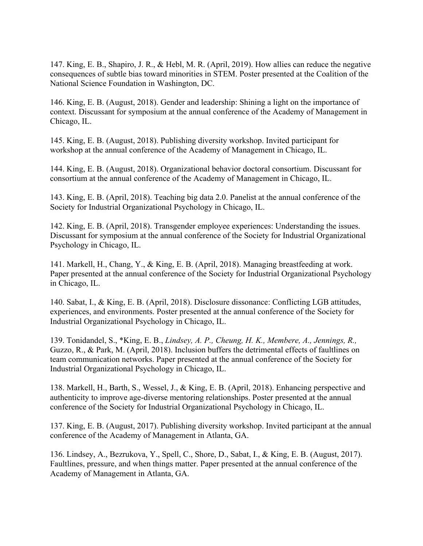147. King, E. B., Shapiro, J. R., & Hebl, M. R. (April, 2019). How allies can reduce the negative consequences of subtle bias toward minorities in STEM. Poster presented at the Coalition of the National Science Foundation in Washington, DC.

146. King, E. B. (August, 2018). Gender and leadership: Shining a light on the importance of context. Discussant for symposium at the annual conference of the Academy of Management in Chicago, IL.

145. King, E. B. (August, 2018). Publishing diversity workshop. Invited participant for workshop at the annual conference of the Academy of Management in Chicago, IL.

144. King, E. B. (August, 2018). Organizational behavior doctoral consortium. Discussant for consortium at the annual conference of the Academy of Management in Chicago, IL.

143. King, E. B. (April, 2018). Teaching big data 2.0. Panelist at the annual conference of the Society for Industrial Organizational Psychology in Chicago, IL.

142. King, E. B. (April, 2018). Transgender employee experiences: Understanding the issues. Discussant for symposium at the annual conference of the Society for Industrial Organizational Psychology in Chicago, IL.

141. Markell, H., Chang, Y., & King, E. B. (April, 2018). Managing breastfeeding at work. Paper presented at the annual conference of the Society for Industrial Organizational Psychology in Chicago, IL.

140. Sabat, I., & King, E. B. (April, 2018). Disclosure dissonance: Conflicting LGB attitudes, experiences, and environments. Poster presented at the annual conference of the Society for Industrial Organizational Psychology in Chicago, IL.

139. Tonidandel, S., \*King, E. B., *Lindsey, A. P., Cheung, H. K., Membere, A., Jennings, R.,*  Guzzo, R., & Park, M. (April, 2018). Inclusion buffers the detrimental effects of faultlines on team communication networks. Paper presented at the annual conference of the Society for Industrial Organizational Psychology in Chicago, IL.

138. Markell, H., Barth, S., Wessel, J., & King, E. B. (April, 2018). Enhancing perspective and authenticity to improve age-diverse mentoring relationships. Poster presented at the annual conference of the Society for Industrial Organizational Psychology in Chicago, IL.

137. King, E. B. (August, 2017). Publishing diversity workshop. Invited participant at the annual conference of the Academy of Management in Atlanta, GA.

136. Lindsey, A., Bezrukova, Y., Spell, C., Shore, D., Sabat, I., & King, E. B. (August, 2017). Faultlines, pressure, and when things matter. Paper presented at the annual conference of the Academy of Management in Atlanta, GA.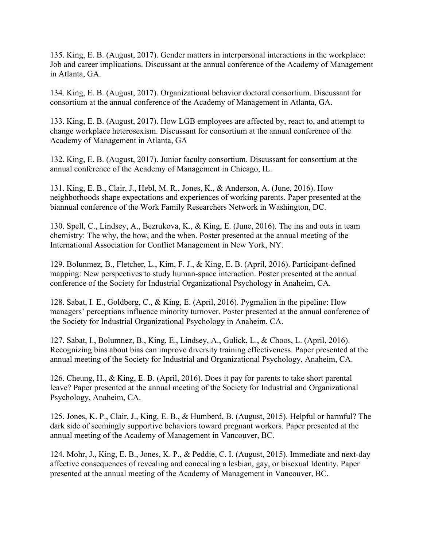135. King, E. B. (August, 2017). Gender matters in interpersonal interactions in the workplace: Job and career implications. Discussant at the annual conference of the Academy of Management in Atlanta, GA.

134. King, E. B. (August, 2017). Organizational behavior doctoral consortium. Discussant for consortium at the annual conference of the Academy of Management in Atlanta, GA.

133. King, E. B. (August, 2017). How LGB employees are affected by, react to, and attempt to change workplace heterosexism. Discussant for consortium at the annual conference of the Academy of Management in Atlanta, GA

132. King, E. B. (August, 2017). Junior faculty consortium. Discussant for consortium at the annual conference of the Academy of Management in Chicago, IL.

131. King, E. B., Clair, J., Hebl, M. R., Jones, K., & Anderson, A. (June, 2016). How neighborhoods shape expectations and experiences of working parents. Paper presented at the biannual conference of the Work Family Researchers Network in Washington, DC.

130. Spell, C., Lindsey, A., Bezrukova, K., & King, E. (June, 2016). The ins and outs in team chemistry: The why, the how, and the when. Poster presented at the annual meeting of the International Association for Conflict Management in New York, NY.

129. Bolunmez, B., Fletcher, L., Kim, F. J., & King, E. B. (April, 2016). Participant-defined mapping: New perspectives to study human-space interaction. Poster presented at the annual conference of the Society for Industrial Organizational Psychology in Anaheim, CA.

128. Sabat, I. E., Goldberg, C., & King, E. (April, 2016). Pygmalion in the pipeline: How managers' perceptions influence minority turnover. Poster presented at the annual conference of the Society for Industrial Organizational Psychology in Anaheim, CA.

127. Sabat, I., Bolumnez, B., King, E., Lindsey, A., Gulick, L., & Choos, L. (April, 2016). Recognizing bias about bias can improve diversity training effectiveness. Paper presented at the annual meeting of the Society for Industrial and Organizational Psychology, Anaheim, CA.

126. Cheung, H., & King, E. B. (April, 2016). Does it pay for parents to take short parental leave? Paper presented at the annual meeting of the Society for Industrial and Organizational Psychology, Anaheim, CA.

125. Jones, K. P., Clair, J., King, E. B., & Humberd, B. (August, 2015). Helpful or harmful? The dark side of seemingly supportive behaviors toward pregnant workers. Paper presented at the annual meeting of the Academy of Management in Vancouver, BC.

124. Mohr, J., King, E. B., Jones, K. P., & Peddie, C. I. (August, 2015). Immediate and next-day affective consequences of revealing and concealing a lesbian, gay, or bisexual Identity. Paper presented at the annual meeting of the Academy of Management in Vancouver, BC.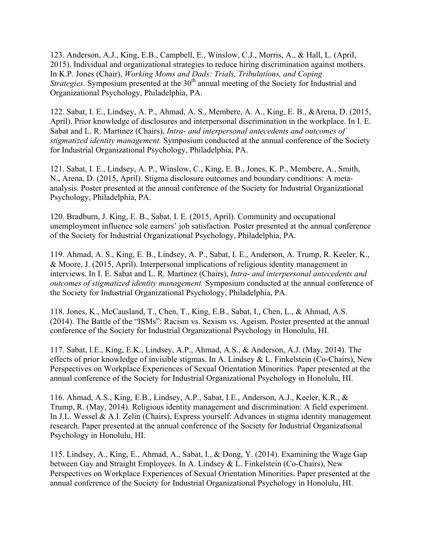123. Anderson, A.J., King, E.B., Campbell, E., Winslow, C.J., Morris, A., & Hall, L. (April, 2015). Individual and organizational strategies to reduce hiring discrimination against mothers. In K.P. Jones (Chair), *Working Moms and Dads: Trials, Tribulations, and Coping Strategies.* Symposium presented at the 30<sup>th</sup> annual meeting of the Society for Industrial and Organizational Psychology, Philadelphia, PA.

122. Sabat, I. E., Lindsey, A. P., Ahmad, A. S., Membere, A. A., King, E. B., &Arena, D. (2015, April). Prior knowledge of disclosures and interpersonal discrimination in the workplace. In I. E. Sabat and L. R. Martinez (Chairs), *Intra- and interpersonal antecedents and outcomes of stigmatized identity management.* Symposium conducted at the annual conference of the Society for Industrial Organizational Psychology, Philadelphia, PA.

121. Sabat, I. E., Lindsey, A. P., Winslow, C., King, E. B., Jones, K. P., Membere, A., Smith, N., Arena, D. (2015, April). Stigma disclosure outcomes and boundary conditions: A metaanalysis. Poster presented at the annual conference of the Society for Industrial Organizational Psychology, Philadelphia, PA.

120. Bradburn, J. King, E. B., Sabat, I. E. (2015, April). Community and occupational unemployment influence sole earners' job satisfaction. Poster presented at the annual conference of the Society for Industrial Organizational Psychology, Philadelphia, PA.

119. Ahmad, A. S., King, E. B., Lindsey, A. P., Sabat, I. E., Anderson, A. Trump, R. Keeler, K., & Moore, J. (2015, April). Interpersonal implications of religious identity management in interviews. In I. E. Sabat and L. R. Martinez (Chairs), *Intra- and interpersonal antecedents and outcomes of stigmatized identity management.* Symposium conducted at the annual conference of the Society for Industrial Organizational Psychology, Philadelphia, PA.

118. Jones, K., McCausland, T., Chen, T., King, E.B., Sabat, I., Chen, L., & Ahmad, A.S. (2014). The Battle of the "ISMs": Racism vs. Sexism vs. Ageism. Poster presented at the annual conference of the Society for Industrial Organizational Psychology in Honolulu, HI.

117. Sabat, I.E., King, E.K., Lindsey, A.P., Ahmad, A.S., & Anderson, A.J. (May, 2014). The effects of prior knowledge of invisible stigmas. In A. Lindsey & L. Finkelstein (Co-Chairs), New Perspectives on Workplace Experiences of Sexual Orientation Minorities. Paper presented at the annual conference of the Society for Industrial Organizational Psychology in Honolulu, HI.

 Psychology in Honolulu, HI. 116. Ahmad, A.S., King, E.B., Lindsey, A.P., Sabat, I.E., Anderson, A.J., Keeler, K.R., & Trump, R. (May, 2014). Religious identity management and discrimination: A field experiment. In J.L. Wessel & A.I. Zelin (Chairs), Express yourself: Advances in stigma identity management research. Paper presented at the annual conference of the Society for Industrial Organizational

115. Lindsey, A., King, E., Ahmad, A., Sabat, I., & Dong, Y. (2014). Examining the Wage Gap between Gay and Straight Employees. In A. Lindsey & L. Finkelstein (Co-Chairs), New Perspectives on Workplace Experiences of Sexual Orientation Minorities. Paper presented at the annual conference of the Society for Industrial Organizational Psychology in Honolulu, HI.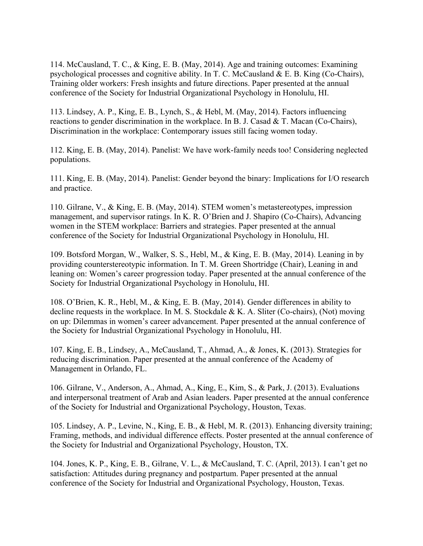114. McCausland, T. C., & King, E. B. (May, 2014). Age and training outcomes: Examining psychological processes and cognitive ability. In T. C. McCausland  $\&$  E. B. King (Co-Chairs), Training older workers: Fresh insights and future directions. Paper presented at the annual conference of the Society for Industrial Organizational Psychology in Honolulu, HI.

113. Lindsey, A. P., King, E. B., Lynch, S., & Hebl, M. (May, 2014). Factors influencing reactions to gender discrimination in the workplace. In B. J. Casad & T. Macan (Co-Chairs), Discrimination in the workplace: Contemporary issues still facing women today.

112. King, E. B. (May, 2014). Panelist: We have work-family needs too! Considering neglected populations.

111. King, E. B. (May, 2014). Panelist: Gender beyond the binary: Implications for I/O research and practice.

110. Gilrane, V., & King, E. B. (May, 2014). STEM women's metastereotypes, impression management, and supervisor ratings. In K. R. O'Brien and J. Shapiro (Co-Chairs), Advancing women in the STEM workplace: Barriers and strategies. Paper presented at the annual conference of the Society for Industrial Organizational Psychology in Honolulu, HI.

109. Botsford Morgan, W., Walker, S. S., Hebl, M., & King, E. B. (May, 2014). Leaning in by providing counterstereotypic information. In T. M. Green Shortridge (Chair), Leaning in and leaning on: Women's career progression today. Paper presented at the annual conference of the Society for Industrial Organizational Psychology in Honolulu, HI.

108. O'Brien, K. R., Hebl, M., & King, E. B. (May, 2014). Gender differences in ability to decline requests in the workplace. In M. S. Stockdale  $\& K$ . A. Sliter (Co-chairs), (Not) moving on up: Dilemmas in women's career advancement. Paper presented at the annual conference of the Society for Industrial Organizational Psychology in Honolulu, HI.

107. King, E. B., Lindsey, A., McCausland, T., Ahmad, A., & Jones, K. (2013). Strategies for reducing discrimination. Paper presented at the annual conference of the Academy of Management in Orlando, FL.

106. Gilrane, V., Anderson, A., Ahmad, A., King, E., Kim, S., & Park, J. (2013). Evaluations and interpersonal treatment of Arab and Asian leaders. Paper presented at the annual conference of the Society for Industrial and Organizational Psychology, Houston, Texas.

105. Lindsey, A. P., Levine, N., King, E. B., & Hebl, M. R. (2013). Enhancing diversity training; Framing, methods, and individual difference effects. Poster presented at the annual conference of the Society for Industrial and Organizational Psychology, Houston, TX.

 satisfaction: Attitudes during pregnancy and postpartum. Paper presented at the annual 104. Jones, K. P., King, E. B., Gilrane, V. L., & McCausland, T. C. (April, 2013). I can't get no conference of the Society for Industrial and Organizational Psychology, Houston, Texas.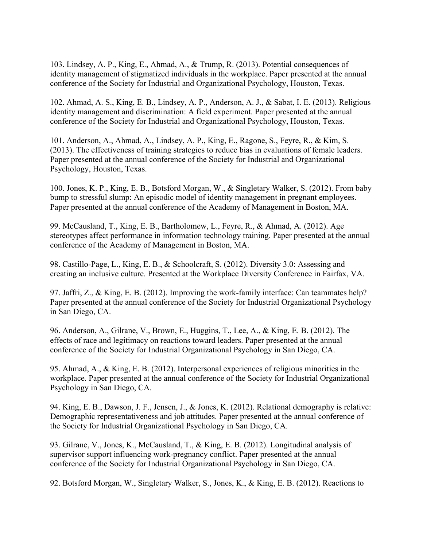identity management of stigmatized individuals in the workplace. Paper presented at the annual 103. Lindsey, A. P., King, E., Ahmad, A., & Trump, R. (2013). Potential consequences of conference of the Society for Industrial and Organizational Psychology, Houston, Texas.

 102. Ahmad, A. S., King, E. B., Lindsey, A. P., Anderson, A. J., & Sabat, I. E. (2013). Religious identity management and discrimination: A field experiment. Paper presented at the annual conference of the Society for Industrial and Organizational Psychology, Houston, Texas.

101. Anderson, A., Ahmad, A., Lindsey, A. P., King, E., Ragone, S., Feyre, R., & Kim, S. (2013). The effectiveness of training strategies to reduce bias in evaluations of female leaders. Paper presented at the annual conference of the Society for Industrial and Organizational Psychology, Houston, Texas.

100. Jones, K. P., King, E. B., Botsford Morgan, W., & Singletary Walker, S. (2012). From baby bump to stressful slump: An episodic model of identity management in pregnant employees. Paper presented at the annual conference of the Academy of Management in Boston, MA.

99. McCausland, T., King, E. B., Bartholomew, L., Feyre, R., & Ahmad, A. (2012). Age stereotypes affect performance in information technology training. Paper presented at the annual conference of the Academy of Management in Boston, MA.

98. Castillo-Page, L., King, E. B., & Schoolcraft, S. (2012). Diversity 3.0: Assessing and creating an inclusive culture. Presented at the Workplace Diversity Conference in Fairfax, VA.

97. Jaffri, Z., & King, E. B. (2012). Improving the work-family interface: Can teammates help? Paper presented at the annual conference of the Society for Industrial Organizational Psychology in San Diego, CA.

96. Anderson, A., Gilrane, V., Brown, E., Huggins, T., Lee, A., & King, E. B. (2012). The effects of race and legitimacy on reactions toward leaders. Paper presented at the annual conference of the Society for Industrial Organizational Psychology in San Diego, CA.

95. Ahmad, A., & King, E. B. (2012). Interpersonal experiences of religious minorities in the workplace. Paper presented at the annual conference of the Society for Industrial Organizational Psychology in San Diego, CA.

94. King, E. B., Dawson, J. F., Jensen, J., & Jones, K. (2012). Relational demography is relative: Demographic representativeness and job attitudes. Paper presented at the annual conference of the Society for Industrial Organizational Psychology in San Diego, CA.

93. Gilrane, V., Jones, K., McCausland, T., & King, E. B. (2012). Longitudinal analysis of supervisor support influencing work-pregnancy conflict. Paper presented at the annual conference of the Society for Industrial Organizational Psychology in San Diego, CA.

92. Botsford Morgan, W., Singletary Walker, S., Jones, K., & King, E. B. (2012). Reactions to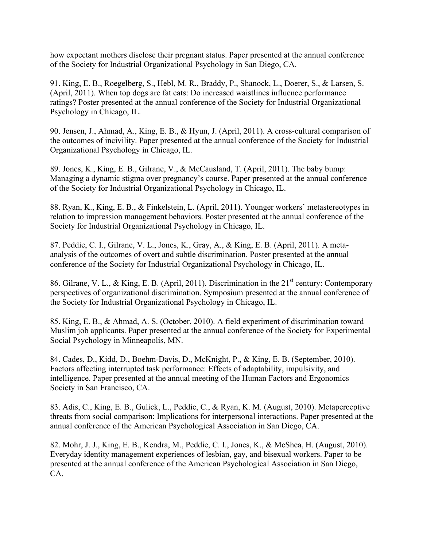how expectant mothers disclose their pregnant status. Paper presented at the annual conference of the Society for Industrial Organizational Psychology in San Diego, CA.

91. King, E. B., Roegelberg, S., Hebl, M. R., Braddy, P., Shanock, L., Doerer, S., & Larsen, S. (April, 2011). When top dogs are fat cats: Do increased waistlines influence performance ratings? Poster presented at the annual conference of the Society for Industrial Organizational Psychology in Chicago, IL.

90. Jensen, J., Ahmad, A., King, E. B., & Hyun, J. (April, 2011). A cross-cultural comparison of the outcomes of incivility. Paper presented at the annual conference of the Society for Industrial Organizational Psychology in Chicago, IL.

89. Jones, K., King, E. B., Gilrane, V., & McCausland, T. (April, 2011). The baby bump: Managing a dynamic stigma over pregnancy's course. Paper presented at the annual conference of the Society for Industrial Organizational Psychology in Chicago, IL.

88. Ryan, K., King, E. B., & Finkelstein, L. (April, 2011). Younger workers' metastereotypes in relation to impression management behaviors. Poster presented at the annual conference of the Society for Industrial Organizational Psychology in Chicago, IL.

87. Peddie, C. I., Gilrane, V. L., Jones, K., Gray, A., & King, E. B. (April, 2011). A metaanalysis of the outcomes of overt and subtle discrimination. Poster presented at the annual conference of the Society for Industrial Organizational Psychology in Chicago, IL.

86. Gilrane, V. L., & King, E. B. (April, 2011). Discrimination in the 21<sup>st</sup> century: Contemporary perspectives of organizational discrimination. Symposium presented at the annual conference of the Society for Industrial Organizational Psychology in Chicago, IL.

85. King, E. B., & Ahmad, A. S. (October, 2010). A field experiment of discrimination toward Muslim job applicants. Paper presented at the annual conference of the Society for Experimental Social Psychology in Minneapolis, MN.

84. Cades, D., Kidd, D., Boehm-Davis, D., McKnight, P., & King, E. B. (September, 2010). Factors affecting interrupted task performance: Effects of adaptability, impulsivity, and intelligence. Paper presented at the annual meeting of the Human Factors and Ergonomics Society in San Francisco, CA.

83. Adis, C., King, E. B., Gulick, L., Peddie, C., & Ryan, K. M. (August, 2010). Metaperceptive threats from social comparison: Implications for interpersonal interactions. Paper presented at the annual conference of the American Psychological Association in San Diego, CA.

82. Mohr, J. J., King, E. B., Kendra, M., Peddie, C. I., Jones, K., & McShea, H. (August, 2010). Everyday identity management experiences of lesbian, gay, and bisexual workers. Paper to be presented at the annual conference of the American Psychological Association in San Diego, CA.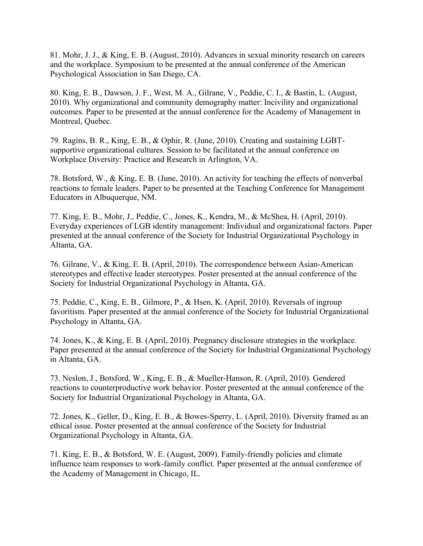81. Mohr, J. J., & King, E. B. (August, 2010). Advances in sexual minority research on careers and the workplace. Symposium to be presented at the annual conference of the American Psychological Association in San Diego, CA.

80. King, E. B., Dawson, J. F., West, M. A., Gilrane, V., Peddie, C. I., & Bastin, L. (August, 2010). Why organizational and community demography matter: Incivility and organizational outcomes. Paper to be presented at the annual conference for the Academy of Management in Montreal, Quebec.

79. Ragins, B. R., King, E. B., & Ophir, R. (June, 2010). Creating and sustaining LGBTsupportive organizational cultures. Session to be facilitated at the annual conference on Workplace Diversity: Practice and Research in Arlington, VA.

78. Botsford, W., & King, E. B. (June, 2010). An activity for teaching the effects of nonverbal reactions to female leaders. Paper to be presented at the Teaching Conference for Management Educators in Albuquerque, NM.

77. King, E. B., Mohr, J., Peddie, C., Jones, K., Kendra, M., & McShea, H. (April, 2010). Everyday experiences of LGB identity management: Individual and organizational factors. Paper presented at the annual conference of the Society for Industrial Organizational Psychology in Altanta, GA.

76. Gilrane, V., & King, E. B. (April, 2010). The correspondence between Asian-American stereotypes and effective leader stereotypes. Poster presented at the annual conference of the Society for Industrial Organizational Psychology in Altanta, GA.

75. Peddie, C., King, E. B., Gilmore, P., & Hsen, K. (April, 2010). Reversals of ingroup favoritism. Paper presented at the annual conference of the Society for Industrial Organizational Psychology in Altanta, GA.

74. Jones, K., & King, E. B. (April, 2010). Pregnancy disclosure strategies in the workplace. Paper presented at the annual conference of the Society for Industrial Organizational Psychology in Altanta, GA.

73. Neslon, J., Botsford, W., King, E. B., & Mueller-Hanson, R. (April, 2010). Gendered reactions to counterproductive work behavior. Poster presented at the annual conference of the Society for Industrial Organizational Psychology in Altanta, GA.

72. Jones, K., Geller, D., King, E. B., & Bowes-Sperry, L. (April, 2010). Diversity framed as an ethical issue. Poster presented at the annual conference of the Society for Industrial Organizational Psychology in Altanta, GA.

71. King, E. B., & Botsford, W. E. (August, 2009). Family-friendly policies and climate influence team responses to work-family conflict. Paper presented at the annual conference of the Academy of Management in Chicago, IL.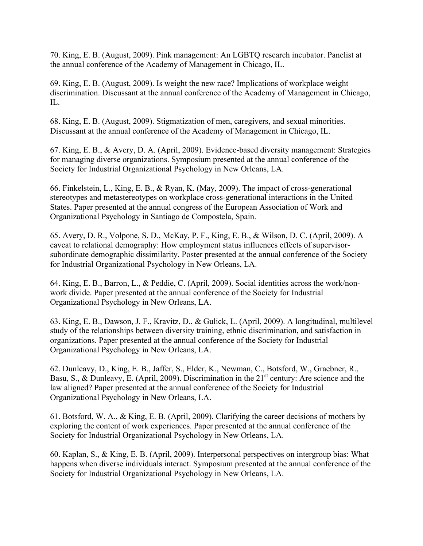70. King, E. B. (August, 2009). Pink management: An LGBTQ research incubator. Panelist at the annual conference of the Academy of Management in Chicago, IL.

69. King, E. B. (August, 2009). Is weight the new race? Implications of workplace weight discrimination. Discussant at the annual conference of the Academy of Management in Chicago, IL.

68. King, E. B. (August, 2009). Stigmatization of men, caregivers, and sexual minorities. Discussant at the annual conference of the Academy of Management in Chicago, IL.

67. King, E. B., & Avery, D. A. (April, 2009). Evidence-based diversity management: Strategies for managing diverse organizations. Symposium presented at the annual conference of the Society for Industrial Organizational Psychology in New Orleans, LA.

66. Finkelstein, L., King, E. B., & Ryan, K. (May, 2009). The impact of cross-generational stereotypes and metastereotypes on workplace cross-generational interactions in the United States. Paper presented at the annual congress of the European Association of Work and Organizational Psychology in Santiago de Compostela, Spain.

 65. Avery, D. R., Volpone, S. D., McKay, P. F., King, E. B., & Wilson, D. C. (April, 2009). A caveat to relational demography: How employment status influences effects of supervisorsubordinate demographic dissimilarity. Poster presented at the annual conference of the Society for Industrial Organizational Psychology in New Orleans, LA.

64. King, E. B., Barron, L., & Peddie, C. (April, 2009). Social identities across the work/nonwork divide. Paper presented at the annual conference of the Society for Industrial Organizational Psychology in New Orleans, LA.

63. King, E. B., Dawson, J. F., Kravitz, D., & Gulick, L. (April, 2009). A longitudinal, multilevel study of the relationships between diversity training, ethnic discrimination, and satisfaction in organizations. Paper presented at the annual conference of the Society for Industrial Organizational Psychology in New Orleans, LA.

62. Dunleavy, D., King, E. B., Jaffer, S., Elder, K., Newman, C., Botsford, W., Graebner, R., Basu, S., & Dunleavy, E. (April, 2009). Discrimination in the  $21<sup>st</sup>$  century: Are science and the law aligned? Paper presented at the annual conference of the Society for Industrial Organizational Psychology in New Orleans, LA.

 61. Botsford, W. A., & King, E. B. (April, 2009). Clarifying the career decisions of mothers by exploring the content of work experiences. Paper presented at the annual conference of the Society for Industrial Organizational Psychology in New Orleans, LA.

60. Kaplan, S., & King, E. B. (April, 2009). Interpersonal perspectives on intergroup bias: What happens when diverse individuals interact. Symposium presented at the annual conference of the Society for Industrial Organizational Psychology in New Orleans, LA.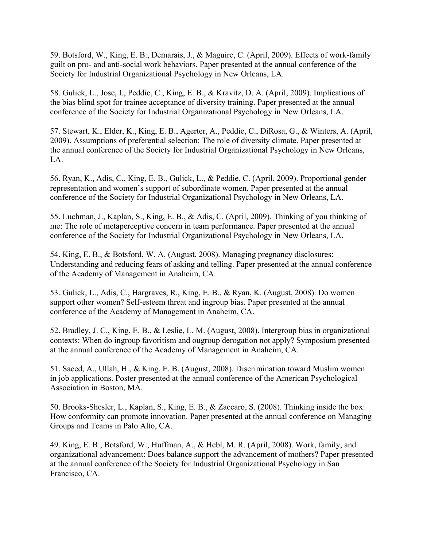59. Botsford, W., King, E. B., Demarais, J., & Maguire, C. (April, 2009). Effects of work-family guilt on pro- and anti-social work behaviors. Paper presented at the annual conference of the Society for Industrial Organizational Psychology in New Orleans, LA.

58. Gulick, L., Jose, I., Peddie, C., King, E. B., & Kravitz, D. A. (April, 2009). Implications of the bias blind spot for trainee acceptance of diversity training. Paper presented at the annual conference of the Society for Industrial Organizational Psychology in New Orleans, LA.

57. Stewart, K., Elder, K., King, E. B., Agerter, A., Peddie, C., DiRosa, G., & Winters, A. (April, 2009). Assumptions of preferential selection: The role of diversity climate. Paper presented at the annual conference of the Society for Industrial Organizational Psychology in New Orleans, LA.

56. Ryan, K., Adis, C., King, E. B., Gulick, L., & Peddie, C. (April, 2009). Proportional gender representation and women's support of subordinate women. Paper presented at the annual conference of the Society for Industrial Organizational Psychology in New Orleans, LA.

55. Luchman, J., Kaplan, S., King, E. B., & Adis, C. (April, 2009). Thinking of you thinking of me: The role of metaperceptive concern in team performance. Paper presented at the annual conference of the Society for Industrial Organizational Psychology in New Orleans, LA.

54. King, E. B., & Botsford, W. A. (August, 2008). Managing pregnancy disclosures: Understanding and reducing fears of asking and telling. Paper presented at the annual conference of the Academy of Management in Anaheim, CA.

53. Gulick, L., Adis, C., Hargraves, R., King, E. B., & Ryan, K. (August, 2008). Do women support other women? Self-esteem threat and ingroup bias. Paper presented at the annual conference of the Academy of Management in Anaheim, CA.

52. Bradley, J. C., King, E. B., & Leslie, L. M. (August, 2008). Intergroup bias in organizational contexts: When do ingroup favoritism and ougroup derogation not apply? Symposium presented at the annual conference of the Academy of Management in Anaheim, CA.

51. Saeed, A., Ullah, H., & King, E. B. (August, 2008). Discrimination toward Muslim women in job applications. Poster presented at the annual conference of the American Psychological Association in Boston, MA.

50. Brooks-Shesler, L., Kaplan, S., King, E. B., & Zaccaro, S. (2008). Thinking inside the box: How conformity can promote innovation. Paper presented at the annual conference on Managing Groups and Teams in Palo Alto, CA.

49. King, E. B., Botsford, W., Huffman, A., & Hebl, M. R. (April, 2008). Work, family, and organizational advancement: Does balance support the advancement of mothers? Paper presented at the annual conference of the Society for Industrial Organizational Psychology in San Francisco, CA.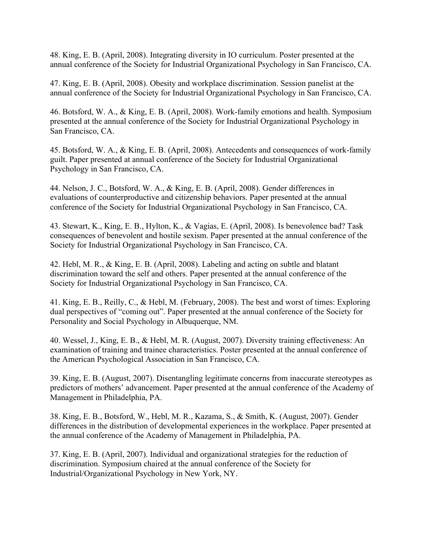48. King, E. B. (April, 2008). Integrating diversity in IO curriculum. Poster presented at the annual conference of the Society for Industrial Organizational Psychology in San Francisco, CA.

47. King, E. B. (April, 2008). Obesity and workplace discrimination. Session panelist at the annual conference of the Society for Industrial Organizational Psychology in San Francisco, CA.

46. Botsford, W. A., & King, E. B. (April, 2008). Work-family emotions and health. Symposium presented at the annual conference of the Society for Industrial Organizational Psychology in San Francisco, CA.

45. Botsford, W. A., & King, E. B. (April, 2008). Antecedents and consequences of work-family guilt. Paper presented at annual conference of the Society for Industrial Organizational Psychology in San Francisco, CA.

44. Nelson, J. C., Botsford, W. A., & King, E. B. (April, 2008). Gender differences in evaluations of counterproductive and citizenship behaviors. Paper presented at the annual conference of the Society for Industrial Organizational Psychology in San Francisco, CA.

43. Stewart, K., King, E. B., Hylton, K., & Vagias, E. (April, 2008). Is benevolence bad? Task consequences of benevolent and hostile sexism. Paper presented at the annual conference of the Society for Industrial Organizational Psychology in San Francisco, CA.

42. Hebl, M. R., & King, E. B. (April, 2008). Labeling and acting on subtle and blatant discrimination toward the self and others. Paper presented at the annual conference of the Society for Industrial Organizational Psychology in San Francisco, CA.

41. King, E. B., Reilly, C., & Hebl, M. (February, 2008). The best and worst of times: Exploring dual perspectives of "coming out". Paper presented at the annual conference of the Society for Personality and Social Psychology in Albuquerque, NM.

40. Wessel, J., King, E. B., & Hebl, M. R. (August, 2007). Diversity training effectiveness: An examination of training and trainee characteristics. Poster presented at the annual conference of the American Psychological Association in San Francisco, CA.

39. King, E. B. (August, 2007). Disentangling legitimate concerns from inaccurate stereotypes as predictors of mothers' advancement. Paper presented at the annual conference of the Academy of Management in Philadelphia, PA.

38. King, E. B., Botsford, W., Hebl, M. R., Kazama, S., & Smith, K. (August, 2007). Gender differences in the distribution of developmental experiences in the workplace. Paper presented at the annual conference of the Academy of Management in Philadelphia, PA.

37. King, E. B. (April, 2007). Individual and organizational strategies for the reduction of discrimination. Symposium chaired at the annual conference of the Society for Industrial/Organizational Psychology in New York, NY.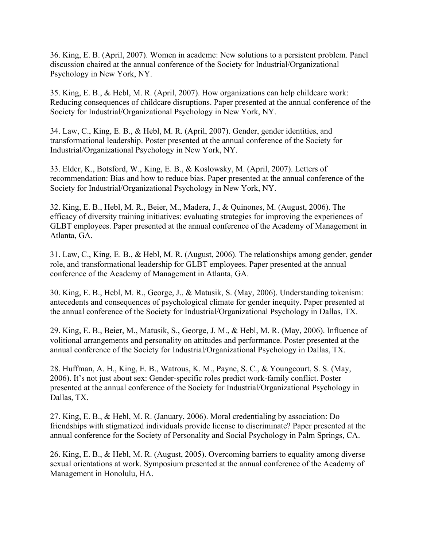36. King, E. B. (April, 2007). Women in academe: New solutions to a persistent problem. Panel discussion chaired at the annual conference of the Society for Industrial/Organizational Psychology in New York, NY.

35. King, E. B., & Hebl, M. R. (April, 2007). How organizations can help childcare work: Reducing consequences of childcare disruptions. Paper presented at the annual conference of the Society for Industrial/Organizational Psychology in New York, NY.

34. Law, C., King, E. B., & Hebl, M. R. (April, 2007). Gender, gender identities, and transformational leadership. Poster presented at the annual conference of the Society for Industrial/Organizational Psychology in New York, NY.

33. Elder, K., Botsford, W., King, E. B., & Koslowsky, M. (April, 2007). Letters of recommendation: Bias and how to reduce bias. Paper presented at the annual conference of the Society for Industrial/Organizational Psychology in New York, NY.

32. King, E. B., Hebl, M. R., Beier, M., Madera, J., & Quinones, M. (August, 2006). The efficacy of diversity training initiatives: evaluating strategies for improving the experiences of GLBT employees. Paper presented at the annual conference of the Academy of Management in Atlanta, GA.

31. Law, C., King, E. B., & Hebl, M. R. (August, 2006). The relationships among gender, gender role, and transformational leadership for GLBT employees. Paper presented at the annual conference of the Academy of Management in Atlanta, GA.

30. King, E. B., Hebl, M. R., George, J., & Matusik, S. (May, 2006). Understanding tokenism: antecedents and consequences of psychological climate for gender inequity. Paper presented at the annual conference of the Society for Industrial/Organizational Psychology in Dallas, TX.

29. King, E. B., Beier, M., Matusik, S., George, J. M., & Hebl, M. R. (May, 2006). Influence of volitional arrangements and personality on attitudes and performance. Poster presented at the annual conference of the Society for Industrial/Organizational Psychology in Dallas, TX.

28. Huffman, A. H., King, E. B., Watrous, K. M., Payne, S. C., & Youngcourt, S. S. (May, 2006). It's not just about sex: Gender-specific roles predict work-family conflict. Poster presented at the annual conference of the Society for Industrial/Organizational Psychology in Dallas, TX.

27. King, E. B., & Hebl, M. R. (January, 2006). Moral credentialing by association: Do friendships with stigmatized individuals provide license to discriminate? Paper presented at the annual conference for the Society of Personality and Social Psychology in Palm Springs, CA.

26. King, E. B., & Hebl, M. R. (August, 2005). Overcoming barriers to equality among diverse sexual orientations at work. Symposium presented at the annual conference of the Academy of Management in Honolulu, HA.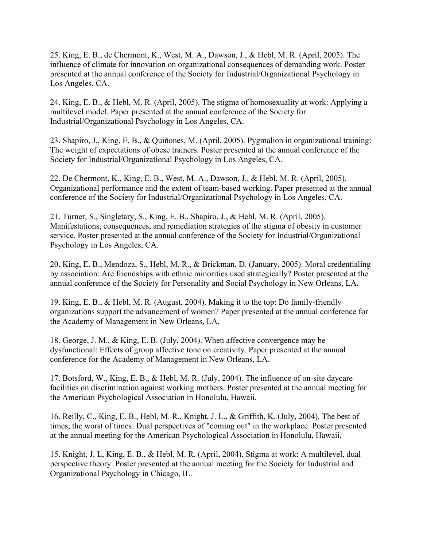25. King, E. B., de Chermont, K., West, M. A., Dawson, J., & Hebl, M. R. (April, 2005). The influence of climate for innovation on organizational consequences of demanding work. Poster presented at the annual conference of the Society for Industrial/Organizational Psychology in Los Angeles, CA.

24. King, E. B., & Hebl, M. R. (April, 2005). The stigma of homosexuality at work: Applying a multilevel model. Paper presented at the annual conference of the Society for Industrial/Organizational Psychology in Los Angeles, CA.

23. Shapiro, J., King, E. B., & Quiñones, M. (April, 2005). Pygmalion in organizational training: The weight of expectations of obese trainers. Poster presented at the annual conference of the Society for Industrial/Organizational Psychology in Los Angeles, CA.

22. De Chermont, K., King, E. B., West, M. A., Dawson, J., & Hebl, M. R. (April, 2005). Organizational performance and the extent of team-based working. Paper presented at the annual conference of the Society for Industrial/Organizational Psychology in Los Angeles, CA.

21. Turner, S., Singletary, S., King, E. B., Shapiro, J., & Hebl, M. R. (April, 2005). Manifestations, consequences, and remediation strategies of the stigma of obesity in customer service. Poster presented at the annual conference of the Society for Industrial/Organizational Psychology in Los Angeles, CA.

20. King, E. B., Mendoza, S., Hebl, M. R., & Brickman, D. (January, 2005). Moral credentialing by association: Are friendships with ethnic minorities used strategically? Poster presented at the annual conference of the Society for Personality and Social Psychology in New Orleans, LA.

19. King, E. B., & Hebl, M. R. (August, 2004). Making it to the top: Do family-friendly organizations support the advancement of women? Paper presented at the annual conference for the Academy of Management in New Orleans, LA.

18. George, J. M., & King, E. B. (July, 2004). When affective convergence may be dysfunctional: Effects of group affective tone on creativity. Paper presented at the annual conference for the Academy of Management in New Orleans, LA.

17. Botsford, W., King, E. B., & Hebl, M. R. (July, 2004). The influence of on-site daycare facilities on discrimination against working mothers. Poster presented at the annual meeting for the American Psychological Association in Honolulu, Hawaii.

16. Reilly, C., King, E. B., Hebl, M. R., Knight, J. L., & Griffith, K. (July, 2004). The best of times, the worst of times: Dual perspectives of "coming out" in the workplace. Poster presented at the annual meeting for the American Psychological Association in Honolulu, Hawaii.

15. Knight, J. L, King, E. B., & Hebl, M. R. (April, 2004). Stigma at work: A multilevel, dual perspective theory. Poster presented at the annual meeting for the Society for Industrial and Organizational Psychology in Chicago, IL.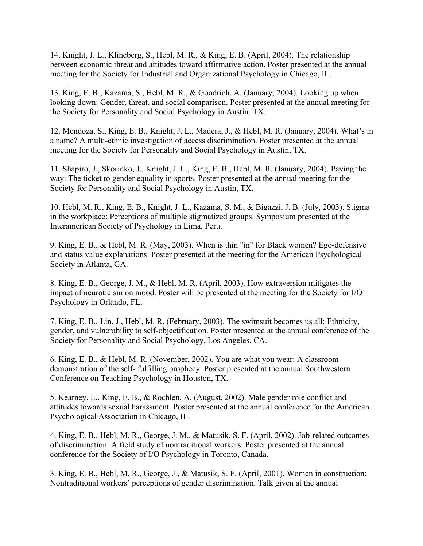14. Knight, J. L., Klineberg, S., Hebl, M. R., & King, E. B. (April, 2004). The relationship between economic threat and attitudes toward affirmative action. Poster presented at the annual meeting for the Society for Industrial and Organizational Psychology in Chicago, IL.

13. King, E. B., Kazama, S., Hebl, M. R., & Goodrich, A. (January, 2004). Looking up when looking down: Gender, threat, and social comparison. Poster presented at the annual meeting for the Society for Personality and Social Psychology in Austin, TX.

12. Mendoza, S., King, E. B., Knight, J. L., Madera, J., & Hebl, M. R. (January, 2004). What's in a name? A multi-ethnic investigation of access discrimination. Poster presented at the annual meeting for the Society for Personality and Social Psychology in Austin, TX.

11. Shapiro, J., Skorinko, J., Knight, J. L., King, E. B., Hebl, M. R. (January, 2004). Paying the way: The ticket to gender equality in sports. Poster presented at the annual meeting for the Society for Personality and Social Psychology in Austin, TX.

10. Hebl, M. R., King, E. B., Knight, J. L., Kazama, S. M., & Bigazzi, J. B. (July, 2003). Stigma in the workplace: Perceptions of multiple stigmatized groups. Symposium presented at the Interamerican Society of Psychology in Lima, Peru.

9. King, E. B., & Hebl, M. R. (May, 2003). When is thin "in" for Black women? Ego-defensive and status value explanations. Poster presented at the meeting for the American Psychological Society in Atlanta, GA.

8. King, E. B., George, J. M., & Hebl, M. R. (April, 2003). How extraversion mitigates the impact of neuroticism on mood. Poster will be presented at the meeting for the Society for I/O Psychology in Orlando, FL.

7. King, E. B., Lin, J., Hebl, M. R. (February, 2003). The swimsuit becomes us all: Ethnicity, gender, and vulnerability to self-objectification. Poster presented at the annual conference of the Society for Personality and Social Psychology, Los Angeles, CA.

6. King, E. B., & Hebl, M. R. (November, 2002). You are what you wear: A classroom demonstration of the self- fulfilling prophecy. Poster presented at the annual Southwestern Conference on Teaching Psychology in Houston, TX.

5. Kearney, L., King, E. B., & Rochlen, A. (August, 2002). Male gender role conflict and attitudes towards sexual harassment. Poster presented at the annual conference for the American Psychological Association in Chicago, IL.

4. King, E. B., Hebl, M. R., George, J. M., & Matusik, S. F. (April, 2002). Job-related outcomes of discrimination: A field study of nontraditional workers. Poster presented at the annual conference for the Society of I/O Psychology in Toronto, Canada.

3. King, E. B., Hebl, M. R., George, J., & Matusik, S. F. (April, 2001). Women in construction: Nontraditional workers' perceptions of gender discrimination. Talk given at the annual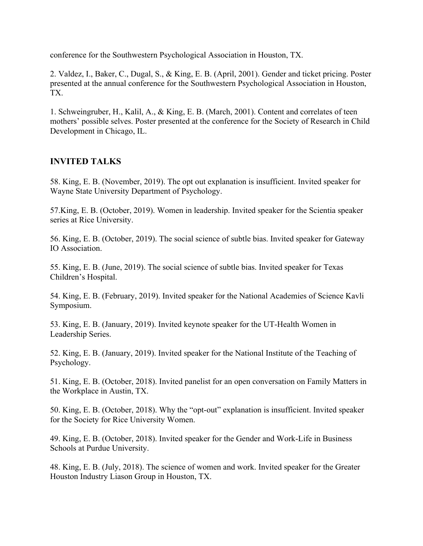conference for the Southwestern Psychological Association in Houston, TX.

2. Valdez, I., Baker, C., Dugal, S., & King, E. B. (April, 2001). Gender and ticket pricing. Poster presented at the annual conference for the Southwestern Psychological Association in Houston, TX.

1. Schweingruber, H., Kalil, A., & King, E. B. (March, 2001). Content and correlates of teen mothers' possible selves. Poster presented at the conference for the Society of Research in Child Development in Chicago, IL.

## **INVITED TALKS**

58. King, E. B. (November, 2019). The opt out explanation is insufficient. Invited speaker for Wayne State University Department of Psychology.

57.King, E. B. (October, 2019). Women in leadership. Invited speaker for the Scientia speaker series at Rice University.

56. King, E. B. (October, 2019). The social science of subtle bias. Invited speaker for Gateway IO Association.

55. King, E. B. (June, 2019). The social science of subtle bias. Invited speaker for Texas Children's Hospital.

54. King, E. B. (February, 2019). Invited speaker for the National Academies of Science Kavli Symposium.

53. King, E. B. (January, 2019). Invited keynote speaker for the UT-Health Women in Leadership Series.

52. King, E. B. (January, 2019). Invited speaker for the National Institute of the Teaching of Psychology.

51. King, E. B. (October, 2018). Invited panelist for an open conversation on Family Matters in the Workplace in Austin, TX.

50. King, E. B. (October, 2018). Why the "opt-out" explanation is insufficient. Invited speaker for the Society for Rice University Women.

49. King, E. B. (October, 2018). Invited speaker for the Gender and Work-Life in Business Schools at Purdue University.

48. King, E. B. (July, 2018). The science of women and work. Invited speaker for the Greater Houston Industry Liason Group in Houston, TX.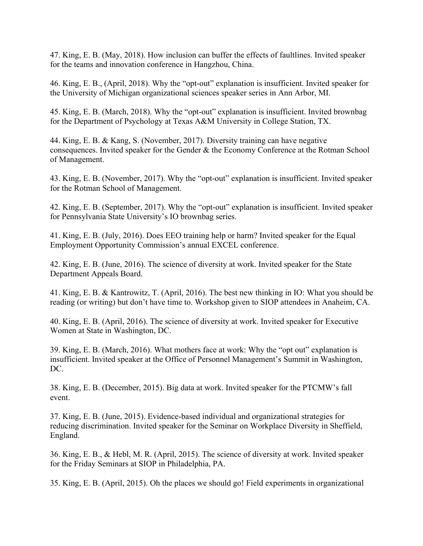47. King, E. B. (May, 2018). How inclusion can buffer the effects of faultlines. Invited speaker for the teams and innovation conference in Hangzhou, China.

46. King, E. B., (April, 2018). Why the "opt-out" explanation is insufficient. Invited speaker for the University of Michigan organizational sciences speaker series in Ann Arbor, MI.

45. King, E. B. (March, 2018). Why the "opt-out" explanation is insufficient. Invited brownbag for the Department of Psychology at Texas A&M University in College Station, TX.

44. King, E. B. & Kang, S. (November, 2017). Diversity training can have negative consequences. Invited speaker for the Gender & the Economy Conference at the Rotman School of Management.

43. King, E. B. (November, 2017). Why the "opt-out" explanation is insufficient. Invited speaker for the Rotman School of Management.

42. King, E. B. (September, 2017). Why the "opt-out" explanation is insufficient. Invited speaker for Pennsylvania State University's IO brownbag series.

41. King, E. B. (July, 2016). Does EEO training help or harm? Invited speaker for the Equal Employment Opportunity Commission's annual EXCEL conference.

42. King, E. B. (June, 2016). The science of diversity at work. Invited speaker for the State Department Appeals Board.

41. King, E. B. & Kantrowitz, T. (April, 2016). The best new thinking in IO: What you should be reading (or writing) but don't have time to. Workshop given to SIOP attendees in Anaheim, CA.

40. King, E. B. (April, 2016). The science of diversity at work. Invited speaker for Executive Women at State in Washington, DC.

39. King, E. B. (March, 2016). What mothers face at work: Why the "opt out" explanation is insufficient. Invited speaker at the Office of Personnel Management's Summit in Washington, DC.

38. King, E. B. (December, 2015). Big data at work. Invited speaker for the PTCMW's fall event.

37. King, E. B. (June, 2015). Evidence-based individual and organizational strategies for reducing discrimination. Invited speaker for the Seminar on Workplace Diversity in Sheffield, England.

36. King, E. B., & Hebl, M. R. (April, 2015). The science of diversity at work. Invited speaker for the Friday Seminars at SIOP in Philadelphia, PA.

35. King, E. B. (April, 2015). Oh the places we should go! Field experiments in organizational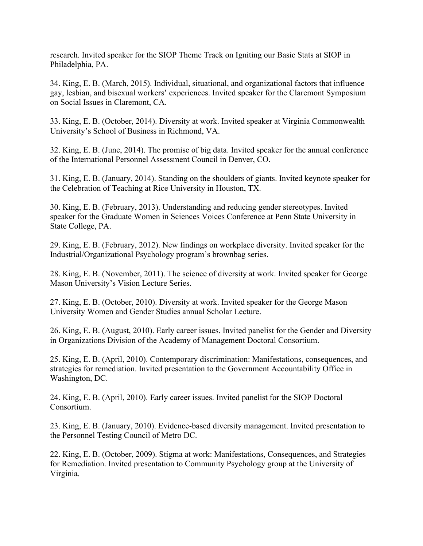research. Invited speaker for the SIOP Theme Track on Igniting our Basic Stats at SIOP in Philadelphia, PA.

34. King, E. B. (March, 2015). Individual, situational, and organizational factors that influence gay, lesbian, and bisexual workers' experiences. Invited speaker for the Claremont Symposium on Social Issues in Claremont, CA.

33. King, E. B. (October, 2014). Diversity at work. Invited speaker at Virginia Commonwealth University's School of Business in Richmond, VA.

32. King, E. B. (June, 2014). The promise of big data. Invited speaker for the annual conference of the International Personnel Assessment Council in Denver, CO.

31. King, E. B. (January, 2014). Standing on the shoulders of giants. Invited keynote speaker for the Celebration of Teaching at Rice University in Houston, TX.

30. King, E. B. (February, 2013). Understanding and reducing gender stereotypes. Invited speaker for the Graduate Women in Sciences Voices Conference at Penn State University in State College, PA.

29. King, E. B. (February, 2012). New findings on workplace diversity. Invited speaker for the Industrial/Organizational Psychology program's brownbag series.

28. King, E. B. (November, 2011). The science of diversity at work. Invited speaker for George Mason University's Vision Lecture Series.

27. King, E. B. (October, 2010). Diversity at work. Invited speaker for the George Mason University Women and Gender Studies annual Scholar Lecture.

26. King, E. B. (August, 2010). Early career issues. Invited panelist for the Gender and Diversity in Organizations Division of the Academy of Management Doctoral Consortium.

25. King, E. B. (April, 2010). Contemporary discrimination: Manifestations, consequences, and strategies for remediation. Invited presentation to the Government Accountability Office in Washington, DC.

24. King, E. B. (April, 2010). Early career issues. Invited panelist for the SIOP Doctoral Consortium.

23. King, E. B. (January, 2010). Evidence-based diversity management. Invited presentation to the Personnel Testing Council of Metro DC.

22. King, E. B. (October, 2009). Stigma at work: Manifestations, Consequences, and Strategies for Remediation. Invited presentation to Community Psychology group at the University of Virginia.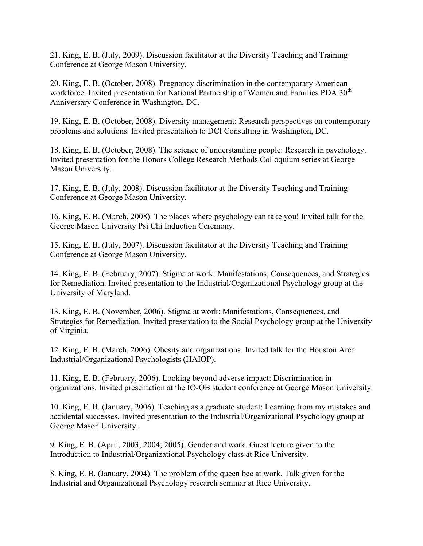21. King, E. B. (July, 2009). Discussion facilitator at the Diversity Teaching and Training Conference at George Mason University.

20. King, E. B. (October, 2008). Pregnancy discrimination in the contemporary American workforce. Invited presentation for National Partnership of Women and Families PDA 30<sup>th</sup> Anniversary Conference in Washington, DC.

19. King, E. B. (October, 2008). Diversity management: Research perspectives on contemporary problems and solutions. Invited presentation to DCI Consulting in Washington, DC.

18. King, E. B. (October, 2008). The science of understanding people: Research in psychology. Invited presentation for the Honors College Research Methods Colloquium series at George Mason University.

17. King, E. B. (July, 2008). Discussion facilitator at the Diversity Teaching and Training Conference at George Mason University.

16. King, E. B. (March, 2008). The places where psychology can take you! Invited talk for the George Mason University Psi Chi Induction Ceremony.

15. King, E. B. (July, 2007). Discussion facilitator at the Diversity Teaching and Training Conference at George Mason University.

14. King, E. B. (February, 2007). Stigma at work: Manifestations, Consequences, and Strategies for Remediation. Invited presentation to the Industrial/Organizational Psychology group at the University of Maryland.

13. King, E. B. (November, 2006). Stigma at work: Manifestations, Consequences, and Strategies for Remediation. Invited presentation to the Social Psychology group at the University of Virginia.

12. King, E. B. (March, 2006). Obesity and organizations. Invited talk for the Houston Area Industrial/Organizational Psychologists (HAIOP).

11. King, E. B. (February, 2006). Looking beyond adverse impact: Discrimination in organizations. Invited presentation at the IO-OB student conference at George Mason University.

10. King, E. B. (January, 2006). Teaching as a graduate student: Learning from my mistakes and accidental successes. Invited presentation to the Industrial/Organizational Psychology group at George Mason University.

9. King, E. B. (April, 2003; 2004; 2005). Gender and work. Guest lecture given to the Introduction to Industrial/Organizational Psychology class at Rice University.

8. King, E. B. (January, 2004). The problem of the queen bee at work. Talk given for the Industrial and Organizational Psychology research seminar at Rice University.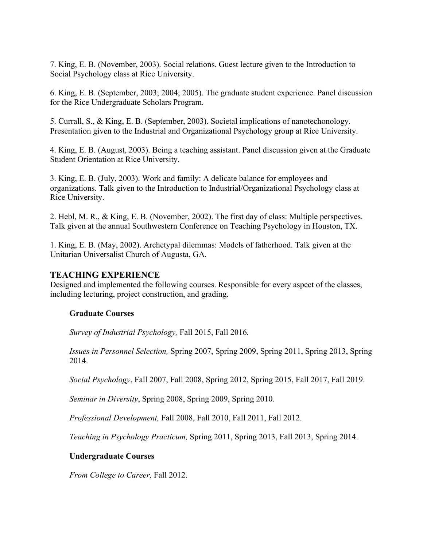7. King, E. B. (November, 2003). Social relations. Guest lecture given to the Introduction to Social Psychology class at Rice University.

6. King, E. B. (September, 2003; 2004; 2005). The graduate student experience. Panel discussion for the Rice Undergraduate Scholars Program.

5. Currall, S., & King, E. B. (September, 2003). Societal implications of nanotechonology. Presentation given to the Industrial and Organizational Psychology group at Rice University.

4. King, E. B. (August, 2003). Being a teaching assistant. Panel discussion given at the Graduate Student Orientation at Rice University.

3. King, E. B. (July, 2003). Work and family: A delicate balance for employees and organizations. Talk given to the Introduction to Industrial/Organizational Psychology class at Rice University.

2. Hebl, M. R., & King, E. B. (November, 2002). The first day of class: Multiple perspectives. Talk given at the annual Southwestern Conference on Teaching Psychology in Houston, TX.

1. King, E. B. (May, 2002). Archetypal dilemmas: Models of fatherhood. Talk given at the Unitarian Universalist Church of Augusta, GA.

## **TEACHING EXPERIENCE**

Designed and implemented the following courses. Responsible for every aspect of the classes, including lecturing, project construction, and grading.

## **Graduate Courses**

*Survey of Industrial Psychology,* Fall 2015, Fall 2016*.* 

*Issues in Personnel Selection,* Spring 2007, Spring 2009, Spring 2011, Spring 2013, Spring 2014.

*Social Psychology*, Fall 2007, Fall 2008, Spring 2012, Spring 2015, Fall 2017, Fall 2019.

*Seminar in Diversity*, Spring 2008, Spring 2009, Spring 2010.

*Professional Development,* Fall 2008, Fall 2010, Fall 2011, Fall 2012.

*Teaching in Psychology Practicum,* Spring 2011, Spring 2013, Fall 2013, Spring 2014.

### **Undergraduate Courses**

*From College to Career,* Fall 2012.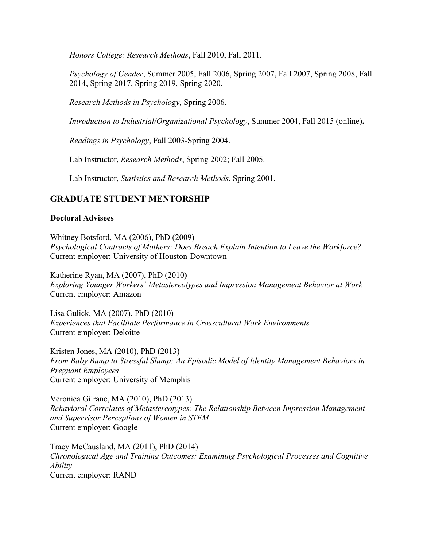*Honors College: Research Methods*, Fall 2010, Fall 2011.

*Psychology of Gender*, Summer 2005, Fall 2006, Spring 2007, Fall 2007, Spring 2008, Fall 2014, Spring 2017, Spring 2019, Spring 2020.

*Research Methods in Psychology,* Spring 2006.

*Introduction to Industrial/Organizational Psychology*, Summer 2004, Fall 2015 (online)**.** 

*Readings in Psychology*, Fall 2003-Spring 2004.

Lab Instructor, *Research Methods*, Spring 2002; Fall 2005.

Lab Instructor, *Statistics and Research Methods*, Spring 2001.

## **GRADUATE STUDENT MENTORSHIP**

### **Doctoral Advisees**

Whitney Botsford, MA (2006), PhD (2009) *Psychological Contracts of Mothers: Does Breach Explain Intention to Leave the Workforce?*  Current employer: University of Houston-Downtown

Katherine Ryan, MA (2007), PhD (2010**)**  *Exploring Younger Workers' Metastereotypes and Impression Management Behavior at Work*  Current employer: Amazon

Lisa Gulick, MA (2007), PhD (2010) *Experiences that Facilitate Performance in Crosscultural Work Environments*  Current employer: Deloitte

Kristen Jones, MA (2010), PhD (2013) *From Baby Bump to Stressful Slump: An Episodic Model of Identity Management Behaviors in Pregnant Employees*  Current employer: University of Memphis

Veronica Gilrane, MA (2010), PhD (2013) *Behavioral Correlates of Metastereotypes: The Relationship Between Impression Management and Supervisor Perceptions of Women in STEM*  Current employer: Google

Tracy McCausland, MA (2011), PhD (2014) *Chronological Age and Training Outcomes: Examining Psychological Processes and Cognitive Ability*  Current employer: RAND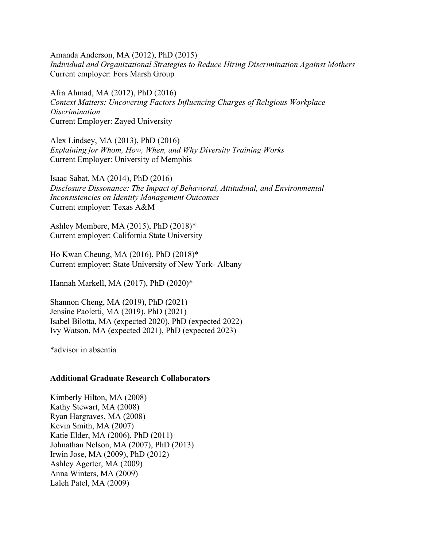Amanda Anderson, MA (2012), PhD (2015) *Individual and Organizational Strategies to Reduce Hiring Discrimination Against Mothers*  Current employer: Fors Marsh Group

Afra Ahmad, MA (2012), PhD (2016) *Context Matters: Uncovering Factors Influencing Charges of Religious Workplace Discrimination*  Current Employer: Zayed University

Alex Lindsey, MA (2013), PhD (2016) *Explaining for Whom, How, When, and Why Diversity Training Works*  Current Employer: University of Memphis

Isaac Sabat, MA (2014), PhD (2016) *Disclosure Dissonance: The Impact of Behavioral, Attitudinal, and Environmental Inconsistencies on Identity Management Outcomes*  Current employer: Texas A&M

 Current employer: California State University Ashley Membere, MA (2015), PhD (2018)\*

 Current employer: State University of New York- Albany Ho Kwan Cheung, MA (2016), PhD (2018)\*

Hannah Markell, MA (2017), PhD (2020)\*

Shannon Cheng, MA (2019), PhD (2021) Jensine Paoletti, MA (2019), PhD (2021) Isabel Bilotta, MA (expected 2020), PhD (expected 2022) Ivy Watson, MA (expected 2021), PhD (expected 2023)

\*advisor in absentia

#### **Additional Graduate Research Collaborators**

Kimberly Hilton, MA (2008) Kathy Stewart, MA (2008) Ryan Hargraves, MA (2008) Kevin Smith, MA (2007) Katie Elder, MA (2006), PhD (2011) Johnathan Nelson, MA (2007), PhD (2013) Irwin Jose, MA (2009), PhD (2012) Ashley Agerter, MA (2009) Anna Winters, MA (2009) Laleh Patel, MA (2009)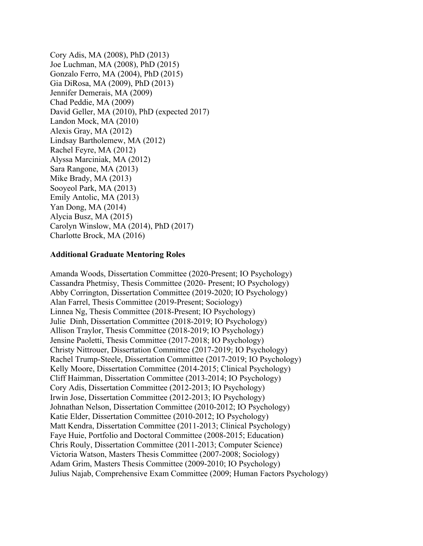Cory Adis, MA (2008), PhD (2013) Joe Luchman, MA (2008), PhD (2015) Gonzalo Ferro, MA (2004), PhD (2015) Gia DiRosa, MA (2009), PhD (2013) Jennifer Demerais, MA (2009) Chad Peddie, MA (2009) David Geller, MA (2010), PhD (expected 2017) Landon Mock, MA (2010) Alexis Gray, MA (2012) Lindsay Bartholemew, MA (2012) Rachel Feyre, MA (2012) Alyssa Marciniak, MA (2012) Sara Rangone, MA (2013) Mike Brady, MA (2013) Sooyeol Park, MA (2013) Emily Antolic, MA (2013) Yan Dong, MA (2014) Alycia Busz, MA (2015) Carolyn Winslow, MA (2014), PhD (2017) Charlotte Brock, MA (2016)

#### **Additional Graduate Mentoring Roles**

Amanda Woods, Dissertation Committee (2020-Present; IO Psychology) Cassandra Phetmisy, Thesis Committee (2020- Present; IO Psychology) Abby Corrington, Dissertation Committee (2019-2020; IO Psychology) Alan Farrel, Thesis Committee (2019-Present; Sociology) Linnea Ng, Thesis Committee (2018-Present; IO Psychology) Julie Dinh, Dissertation Committee (2018-2019; IO Psychology) Allison Traylor, Thesis Committee (2018-2019; IO Psychology) Jensine Paoletti, Thesis Committee (2017-2018; IO Psychology) Christy Nittrouer, Dissertation Committee (2017-2019; IO Psychology) Rachel Trump-Steele, Dissertation Committee (2017-2019; IO Psychology) Kelly Moore, Dissertation Committee (2014-2015; Clinical Psychology) Cliff Haimman, Dissertation Committee (2013-2014; IO Psychology) Cory Adis, Dissertation Committee (2012-2013; IO Psychology) Irwin Jose, Dissertation Committee (2012-2013; IO Psychology) Johnathan Nelson, Dissertation Committee (2010-2012; IO Psychology) Katie Elder, Dissertation Committee (2010-2012; IO Psychology) Matt Kendra, Dissertation Committee (2011-2013; Clinical Psychology) Faye Huie, Portfolio and Doctoral Committee (2008-2015; Education) Chris Rouly, Dissertation Committee (2011-2013; Computer Science) Victoria Watson, Masters Thesis Committee (2007-2008; Sociology) Adam Grim, Masters Thesis Committee (2009-2010; IO Psychology) Julius Najab, Comprehensive Exam Committee (2009; Human Factors Psychology)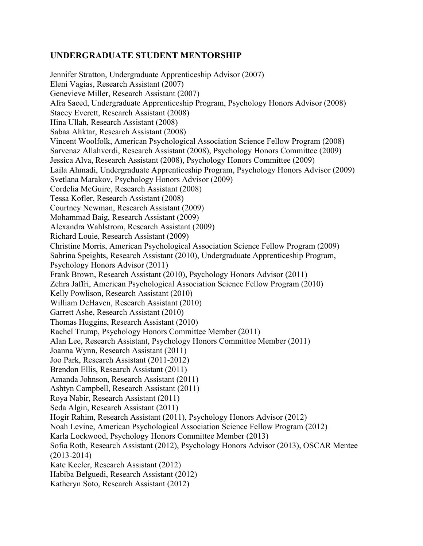## **UNDERGRADUATE STUDENT MENTORSHIP**

Jennifer Stratton, Undergraduate Apprenticeship Advisor (2007) Eleni Vagias, Research Assistant (2007) Genevieve Miller, Research Assistant (2007) Afra Saeed, Undergraduate Apprenticeship Program, Psychology Honors Advisor (2008) Stacey Everett, Research Assistant (2008) Hina Ullah, Research Assistant (2008) Sabaa Ahktar, Research Assistant (2008) Vincent Woolfolk, American Psychological Association Science Fellow Program (2008) Sarvenaz Allahverdi, Research Assistant (2008), Psychology Honors Committee (2009) Jessica Alva, Research Assistant (2008), Psychology Honors Committee (2009) Laila Ahmadi, Undergraduate Apprenticeship Program, Psychology Honors Advisor (2009) Svetlana Marakov, Psychology Honors Advisor (2009) Cordelia McGuire, Research Assistant (2008) Tessa Kofler, Research Assistant (2008) Courtney Newman, Research Assistant (2009) Mohammad Baig, Research Assistant (2009) Alexandra Wahlstrom, Research Assistant (2009) Richard Louie, Research Assistant (2009) Christine Morris, American Psychological Association Science Fellow Program (2009) Sabrina Speights, Research Assistant (2010), Undergraduate Apprenticeship Program, Psychology Honors Advisor (2011) Frank Brown, Research Assistant (2010), Psychology Honors Advisor (2011) Zehra Jaffri, American Psychological Association Science Fellow Program (2010) Kelly Powlison, Research Assistant (2010) William DeHaven, Research Assistant (2010) Garrett Ashe, Research Assistant (2010) Thomas Huggins, Research Assistant (2010) Rachel Trump, Psychology Honors Committee Member (2011) Alan Lee, Research Assistant, Psychology Honors Committee Member (2011) Joanna Wynn, Research Assistant (2011) Joo Park, Research Assistant (2011-2012) Brendon Ellis, Research Assistant (2011) Amanda Johnson, Research Assistant (2011) Ashtyn Campbell, Research Assistant (2011) Roya Nabir, Research Assistant (2011) Seda Algin, Research Assistant (2011) Hogir Rahim, Research Assistant (2011), Psychology Honors Advisor (2012) Noah Levine, American Psychological Association Science Fellow Program (2012) Karla Lockwood, Psychology Honors Committee Member (2013) Sofia Roth, Research Assistant (2012), Psychology Honors Advisor (2013), OSCAR Mentee (2013-2014) Kate Keeler, Research Assistant (2012) Habiba Belguedi, Research Assistant (2012) Katheryn Soto, Research Assistant (2012)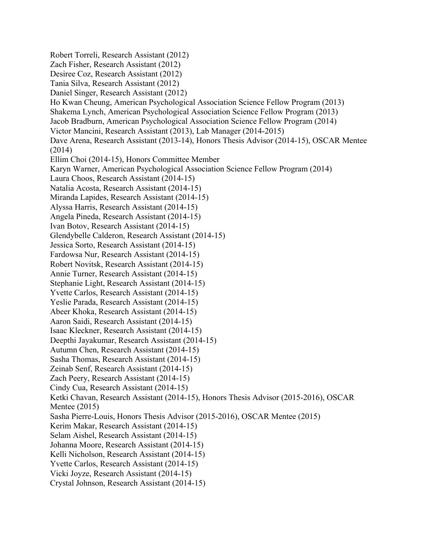Aaron Saidi, Research Assistant (2014-15) Robert Torreli, Research Assistant (2012) Zach Fisher, Research Assistant (2012) Desiree Coz, Research Assistant (2012) Tania Silva, Research Assistant (2012) Daniel Singer, Research Assistant (2012) Ho Kwan Cheung, American Psychological Association Science Fellow Program (2013) Shakema Lynch, American Psychological Association Science Fellow Program (2013) Jacob Bradburn, American Psychological Association Science Fellow Program (2014) Victor Mancini, Research Assistant (2013), Lab Manager (2014-2015) Dave Arena, Research Assistant (2013-14), Honors Thesis Advisor (2014-15), OSCAR Mentee (2014) Ellim Choi (2014-15), Honors Committee Member Karyn Warner, American Psychological Association Science Fellow Program (2014) Laura Choos, Research Assistant (2014-15) Natalia Acosta, Research Assistant (2014-15) Miranda Lapides, Research Assistant (2014-15) Alyssa Harris, Research Assistant (2014-15) Angela Pineda, Research Assistant (2014-15) Ivan Botov, Research Assistant (2014-15) Glendybelle Calderon, Research Assistant (2014-15) Jessica Sorto, Research Assistant (2014-15) Fardowsa Nur, Research Assistant (2014-15) Robert Novitsk, Research Assistant (2014-15) Annie Turner, Research Assistant (2014-15) Stephanie Light, Research Assistant (2014-15) Yvette Carlos, Research Assistant (2014-15) Yeslie Parada, Research Assistant (2014-15) Abeer Khoka, Research Assistant (2014-15) Isaac Kleckner, Research Assistant (2014-15) Deepthi Jayakumar, Research Assistant (2014-15) Autumn Chen, Research Assistant (2014-15) Sasha Thomas, Research Assistant (2014-15) Zeinab Senf, Research Assistant (2014-15) Zach Peery, Research Assistant (2014-15) Cindy Cua, Research Assistant (2014-15) Ketki Chavan, Research Assistant (2014-15), Honors Thesis Advisor (2015-2016), OSCAR Mentee (2015) Sasha Pierre-Louis, Honors Thesis Advisor (2015-2016), OSCAR Mentee (2015) Kerim Makar, Research Assistant (2014-15) Selam Aishel, Research Assistant (2014-15) Johanna Moore, Research Assistant (2014-15) Kelli Nicholson, Research Assistant (2014-15) Yvette Carlos, Research Assistant (2014-15) Vicki Joyze, Research Assistant (2014-15) Crystal Johnson, Research Assistant (2014-15)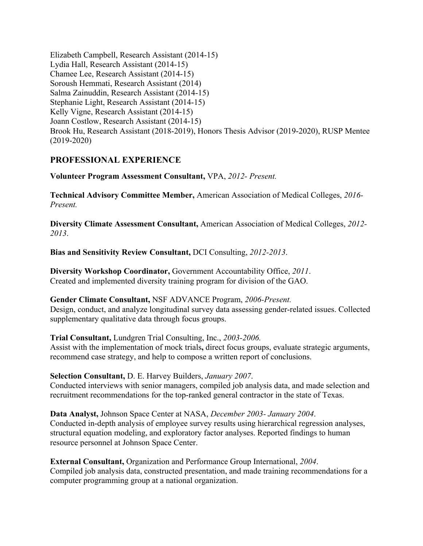Elizabeth Campbell, Research Assistant (2014-15) Lydia Hall, Research Assistant (2014-15) Chamee Lee, Research Assistant (2014-15) Soroush Hemmati, Research Assistant (2014) Salma Zainuddin, Research Assistant (2014-15) Stephanie Light, Research Assistant (2014-15) Kelly Vigne, Research Assistant (2014-15) Joann Costlow, Research Assistant (2014-15) Brook Hu, Research Assistant (2018-2019), Honors Thesis Advisor (2019-2020), RUSP Mentee (2019-2020)

### **PROFESSIONAL EXPERIENCE**

**Volunteer Program Assessment Consultant,** VPA, *2012- Present.* 

**Technical Advisory Committee Member,** American Association of Medical Colleges, *2016- Present.* 

**Diversity Climate Assessment Consultant,** American Association of Medical Colleges, *2012- 2013*.

**Bias and Sensitivity Review Consultant,** DCI Consulting, *2012-2013*.

**Diversity Workshop Coordinator,** Government Accountability Office, *2011*. Created and implemented diversity training program for division of the GAO.

### **Gender Climate Consultant,** NSF ADVANCE Program, *2006-Present.*

Design, conduct, and analyze longitudinal survey data assessing gender-related issues. Collected supplementary qualitative data through focus groups.

### **Trial Consultant,** Lundgren Trial Consulting, Inc., *2003-2006.*

Assist with the implementation of mock trials**,** direct focus groups, evaluate strategic arguments, recommend case strategy, and help to compose a written report of conclusions.

### **Selection Consultant,** D. E. Harvey Builders, *January 2007*.

Conducted interviews with senior managers, compiled job analysis data, and made selection and recruitment recommendations for the top-ranked general contractor in the state of Texas.

**Data Analyst,** Johnson Space Center at NASA, *December 2003- January 2004*. Conducted in-depth analysis of employee survey results using hierarchical regression analyses, structural equation modeling, and exploratory factor analyses. Reported findings to human resource personnel at Johnson Space Center.

### **External Consultant, Organization and Performance Group International, 2004.** Compiled job analysis data, constructed presentation, and made training recommendations for a computer programming group at a national organization.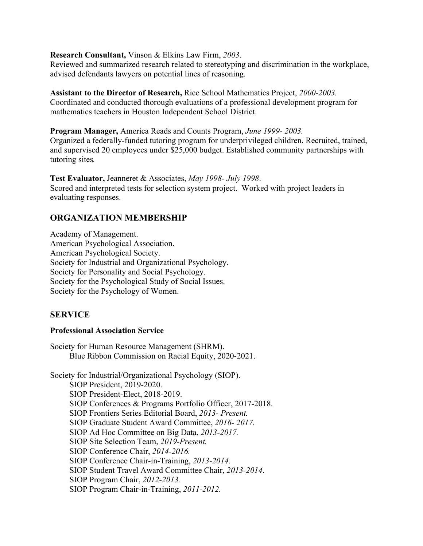### **Research Consultant,** Vinson & Elkins Law Firm, *2003*.

Reviewed and summarized research related to stereotyping and discrimination in the workplace, advised defendants lawyers on potential lines of reasoning.

### **Assistant to the Director of Research,** Rice School Mathematics Project, *2000-2003.*

Coordinated and conducted thorough evaluations of a professional development program for mathematics teachers in Houston Independent School District.

### **Program Manager,** America Reads and Counts Program, *June 1999- 2003.*

Organized a federally-funded tutoring program for underprivileged children. Recruited, trained, and supervised 20 employees under \$25,000 budget. Established community partnerships with tutoring sites*.* 

 Scored and interpreted tests for selection system project. Worked with project leaders in **Test Evaluator,** Jeanneret & Associates, *May 1998- July 1998*. evaluating responses.

## **ORGANIZATION MEMBERSHIP**

 Society for the Psychological Study of Social Issues. Society for the Psychology of Women. Academy of Management. American Psychological Association. American Psychological Society. Society for Industrial and Organizational Psychology. Society for Personality and Social Psychology.

## **SERVICE**

### **Professional Association Service**

Society for Human Resource Management (SHRM). Blue Ribbon Commission on Racial Equity, 2020-2021.

Society for Industrial/Organizational Psychology (SIOP). SIOP President, 2019-2020. SIOP President-Elect, 2018-2019. SIOP Conferences & Programs Portfolio Officer, 2017-2018. SIOP Frontiers Series Editorial Board, *2013- Present.*  SIOP Graduate Student Award Committee, *2016- 2017.*  SIOP Ad Hoc Committee on Big Data, *2013-2017.*  SIOP Site Selection Team, *2019-Present.*  SIOP Conference Chair, *2014-2016.*  SIOP Conference Chair-in-Training, *2013-2014.*  SIOP Student Travel Award Committee Chair, *2013-2014*. SIOP Program Chair, *2012-2013.*  SIOP Program Chair-in-Training, *2011-2012.*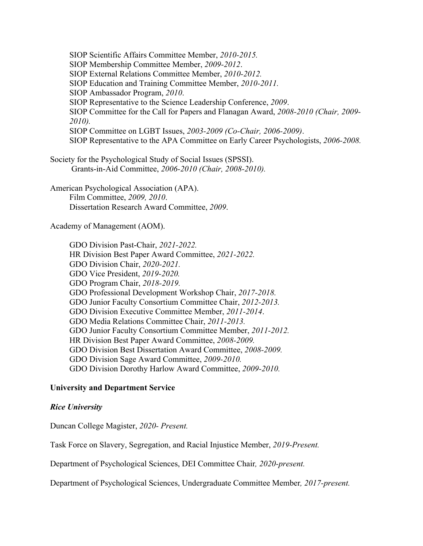SIOP Scientific Affairs Committee Member, *2010-2015.*  SIOP Membership Committee Member, *2009-2012*. SIOP External Relations Committee Member, *2010-2012.*  SIOP Education and Training Committee Member, *2010-2011.*  SIOP Ambassador Program, *2010*. SIOP Representative to the Science Leadership Conference, *2009*. SIOP Committee for the Call for Papers and Flanagan Award, *2008-2010 (Chair, 2009- 2010).*  SIOP Committee on LGBT Issues, *2003-2009 (Co-Chair, 2006-2009)*. SIOP Representative to the APA Committee on Early Career Psychologists, *2006-2008.* 

Society for the Psychological Study of Social Issues (SPSSI). Grants-in-Aid Committee, *2006-2010 (Chair, 2008-2010).* 

American Psychological Association (APA). Film Committee, *2009, 2010*. Dissertation Research Award Committee, *2009*.

Academy of Management (AOM).

GDO Division Past-Chair, *2021-2022.*  HR Division Best Paper Award Committee, *2021-2022.*  GDO Division Chair, *2020-2021.*  GDO Vice President, *2019-2020.*  GDO Program Chair, *2018-2019.*  GDO Professional Development Workshop Chair, *2017-2018.*  GDO Junior Faculty Consortium Committee Chair, *2012-2013.*  GDO Division Executive Committee Member, *2011-2014*. GDO Media Relations Committee Chair, *2011-2013.*  GDO Junior Faculty Consortium Committee Member, *2011-2012.*  HR Division Best Paper Award Committee, *2008-2009.*  GDO Division Best Dissertation Award Committee, *2008-2009.*  GDO Division Sage Award Committee, *2009-2010.*  GDO Division Dorothy Harlow Award Committee, *2009-2010.* 

### **University and Department Service**

### *Rice University*

 Duncan College Magister, *2020- Present.* 

Task Force on Slavery, Segregation, and Racial Injustice Member, *2019-Present.* 

Department of Psychological Sciences, DEI Committee Chair*, 2020-present.* 

Department of Psychological Sciences, Undergraduate Committee Member*, 2017-present.*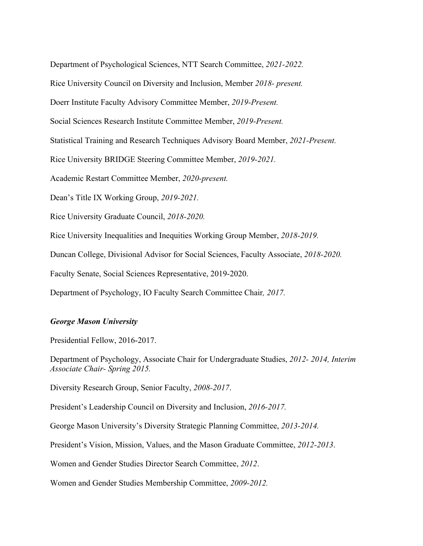Department of Psychological Sciences, NTT Search Committee, *2021-2022.* 

Rice University Council on Diversity and Inclusion, Member *2018- present.* 

Doerr Institute Faculty Advisory Committee Member, *2019-Present.* 

Social Sciences Research Institute Committee Member, *2019-Present.* 

Statistical Training and Research Techniques Advisory Board Member, *2021-Present.* 

Rice University BRIDGE Steering Committee Member, *2019-2021.* 

Academic Restart Committee Member, *2020-present.* 

Dean's Title IX Working Group, *2019-2021.* 

Rice University Graduate Council, *2018-2020.* 

Rice University Inequalities and Inequities Working Group Member, *2018-2019.* 

Duncan College, Divisional Advisor for Social Sciences, Faculty Associate, *2018-2020.* 

Faculty Senate, Social Sciences Representative, 2019-2020.

Department of Psychology, IO Faculty Search Committee Chair*, 2017.* 

#### *George Mason University*

Presidential Fellow, 2016-2017.

Department of Psychology, Associate Chair for Undergraduate Studies, *2012- 2014, Interim Associate Chair- Spring 2015.* 

Diversity Research Group, Senior Faculty, *2008-2017*.

President's Leadership Council on Diversity and Inclusion, *2016-2017.* 

George Mason University's Diversity Strategic Planning Committee, *2013-2014.* 

President's Vision, Mission, Values, and the Mason Graduate Committee, *2012-2013*.

Women and Gender Studies Director Search Committee, *2012*.

Women and Gender Studies Membership Committee, *2009-2012.*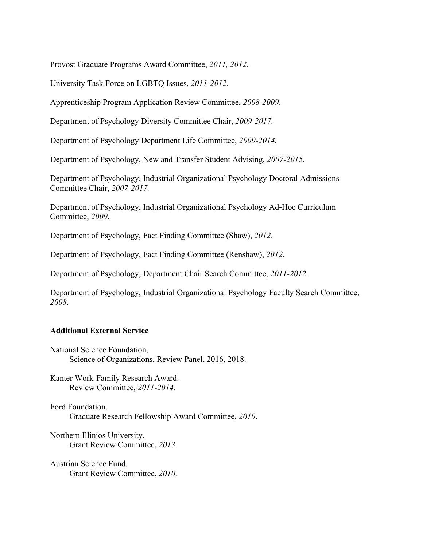Provost Graduate Programs Award Committee, *2011, 2012*.

University Task Force on LGBTQ Issues, *2011-2012.* 

Apprenticeship Program Application Review Committee, *2008-2009*.

Department of Psychology Diversity Committee Chair, *2009-2017.* 

Department of Psychology Department Life Committee, *2009-2014.* 

Department of Psychology, New and Transfer Student Advising, *2007-2015.* 

Department of Psychology, Industrial Organizational Psychology Doctoral Admissions Committee Chair, *2007-2017.* 

Department of Psychology, Industrial Organizational Psychology Ad-Hoc Curriculum Committee, *2009*.

Department of Psychology, Fact Finding Committee (Shaw), *2012*.

Department of Psychology, Fact Finding Committee (Renshaw), *2012*.

Department of Psychology, Department Chair Search Committee, *2011-2012.* 

Department of Psychology, Industrial Organizational Psychology Faculty Search Committee, *2008*.

### **Additional External Service**

National Science Foundation, Science of Organizations, Review Panel, 2016, 2018.

Kanter Work-Family Research Award. Review Committee, *2011-2014.* 

Ford Foundation. Graduate Research Fellowship Award Committee, *2010*.

Northern Illinios University. Grant Review Committee, *2013*.

Austrian Science Fund. Grant Review Committee, *2010*.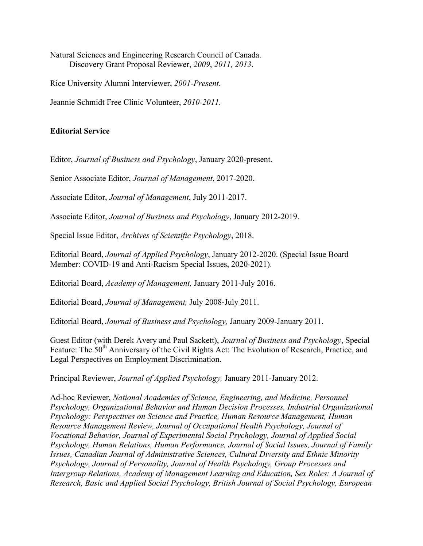Natural Sciences and Engineering Research Council of Canada. Discovery Grant Proposal Reviewer, *2009*, *2011, 2013*.

Rice University Alumni Interviewer, *2001-Present*.

Jeannie Schmidt Free Clinic Volunteer, *2010-2011.* 

### **Editorial Service**

Editor, *Journal of Business and Psychology*, January 2020-present.

Senior Associate Editor, *Journal of Management*, 2017-2020.

Associate Editor, *Journal of Management*, July 2011-2017.

Associate Editor, *Journal of Business and Psychology*, January 2012-2019.

Special Issue Editor, *Archives of Scientific Psychology*, 2018.

Editorial Board, *Journal of Applied Psychology*, January 2012-2020. (Special Issue Board Member: COVID-19 and Anti-Racism Special Issues, 2020-2021).

Editorial Board, *Academy of Management,* January 2011-July 2016.

Editorial Board, *Journal of Management,* July 2008-July 2011.

Editorial Board, *Journal of Business and Psychology,* January 2009-January 2011.

Feature: The 50<sup>th</sup> Anniversary of the Civil Rights Act: The Evolution of Research, Practice, and Guest Editor (with Derek Avery and Paul Sackett), *Journal of Business and Psychology*, Special Legal Perspectives on Employment Discrimination.

Principal Reviewer, *Journal of Applied Psychology,* January 2011-January 2012.

Ad-hoc Reviewer, *National Academies of Science, Engineering, and Medicine, Personnel Psychology, Organizational Behavior and Human Decision Processes, Industrial Organizational Psychology: Perspectives on Science and Practice, Human Resource Management, Human Resource Management Review, Journal of Occupational Health Psychology, Journal of Vocational Behavior, Journal of Experimental Social Psychology, Journal of Applied Social Psychology, Human Relations, Human Performance, Journal of Social Issues, Journal of Family Issues, Canadian Journal of Administrative Sciences, Cultural Diversity and Ethnic Minority Psychology, Journal of Personality, Journal of Health Psychology, Group Processes and Intergroup Relations, Academy of Management Learning and Education, Sex Roles: A Journal of Research, Basic and Applied Social Psychology, British Journal of Social Psychology, European*